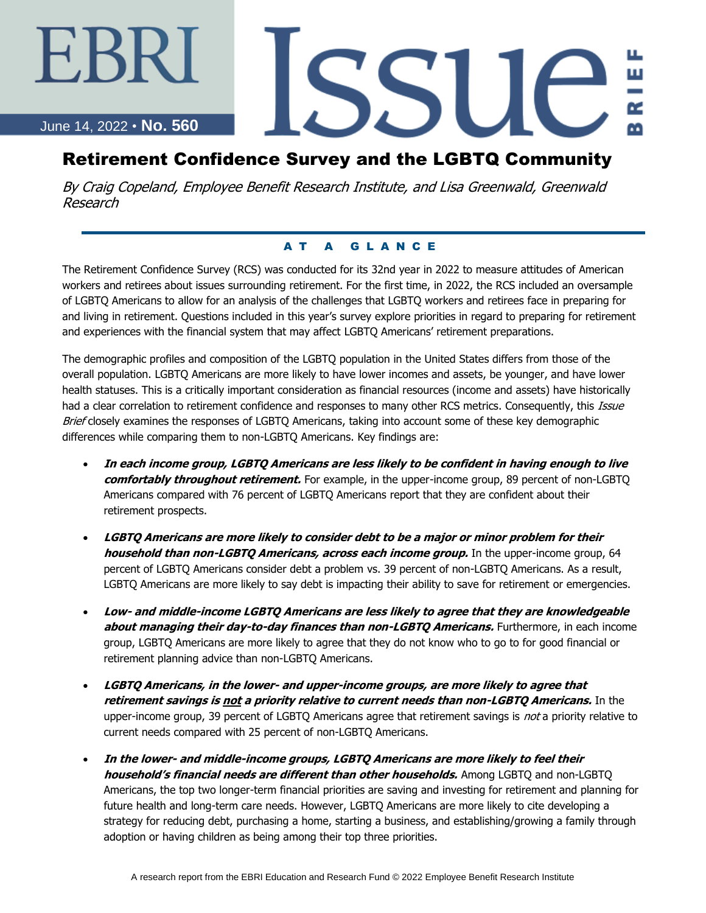June 14, 2022 • **No. 560**

∹BI

# SSU

# Retirement Confidence Survey and the LGBTQ Community

By Craig Copeland, Employee Benefit Research Institute, and Lisa Greenwald, Greenwald Research

### A T A G L A N C E

The Retirement Confidence Survey (RCS) was conducted for its 32nd year in 2022 to measure attitudes of American workers and retirees about issues surrounding retirement. For the first time, in 2022, the RCS included an oversample of LGBTQ Americans to allow for an analysis of the challenges that LGBTQ workers and retirees face in preparing for and living in retirement. Questions included in this year's survey explore priorities in regard to preparing for retirement and experiences with the financial system that may affect LGBTQ Americans' retirement preparations.

The demographic profiles and composition of the LGBTQ population in the United States differs from those of the overall population. LGBTQ Americans are more likely to have lower incomes and assets, be younger, and have lower health statuses. This is a critically important consideration as financial resources (income and assets) have historically had a clear correlation to retirement confidence and responses to many other RCS metrics. Consequently, this Issue Brief closely examines the responses of LGBTQ Americans, taking into account some of these key demographic differences while comparing them to non-LGBTQ Americans. Key findings are:

- **In each income group, LGBTQ Americans are less likely to be confident in having enough to live comfortably throughout retirement.** For example, in the upper-income group, 89 percent of non-LGBTQ Americans compared with 76 percent of LGBTQ Americans report that they are confident about their retirement prospects.
- **LGBTQ Americans are more likely to consider debt to be a major or minor problem for their household than non-LGBTQ Americans, across each income group.** In the upper-income group, 64 percent of LGBTQ Americans consider debt a problem vs. 39 percent of non-LGBTQ Americans. As a result, LGBTQ Americans are more likely to say debt is impacting their ability to save for retirement or emergencies.
- **Low- and middle-income LGBTQ Americans are less likely to agree that they are knowledgeable about managing their day-to-day finances than non-LGBTQ Americans.** Furthermore, in each income group, LGBTQ Americans are more likely to agree that they do not know who to go to for good financial or retirement planning advice than non-LGBTQ Americans.
- **LGBTQ Americans, in the lower- and upper-income groups, are more likely to agree that retirement savings is not a priority relative to current needs than non-LGBTQ Americans.** In the upper-income group, 39 percent of LGBTQ Americans agree that retirement savings is not a priority relative to current needs compared with 25 percent of non-LGBTQ Americans.
- **In the lower- and middle-income groups, LGBTQ Americans are more likely to feel their household's financial needs are different than other households.** Among LGBTQ and non-LGBTQ Americans, the top two longer-term financial priorities are saving and investing for retirement and planning for future health and long-term care needs. However, LGBTQ Americans are more likely to cite developing a strategy for reducing debt, purchasing a home, starting a business, and establishing/growing a family through adoption or having children as being among their top three priorities.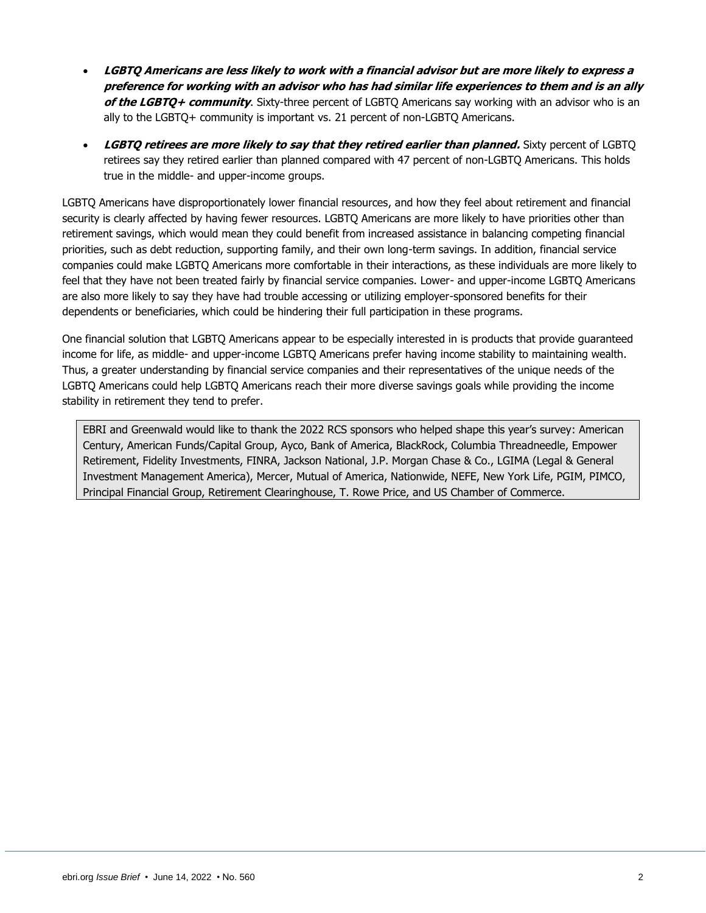- **LGBTQ Americans are less likely to work with a financial advisor but are more likely to express a preference for working with an advisor who has had similar life experiences to them and is an ally of the LGBTQ+ community**. Sixty-three percent of LGBTQ Americans say working with an advisor who is an ally to the LGBTQ+ community is important vs. 21 percent of non-LGBTQ Americans.
- **LGBTQ retirees are more likely to say that they retired earlier than planned.** Sixty percent of LGBTQ retirees say they retired earlier than planned compared with 47 percent of non-LGBTQ Americans. This holds true in the middle- and upper-income groups.

LGBTQ Americans have disproportionately lower financial resources, and how they feel about retirement and financial security is clearly affected by having fewer resources. LGBTQ Americans are more likely to have priorities other than retirement savings, which would mean they could benefit from increased assistance in balancing competing financial priorities, such as debt reduction, supporting family, and their own long-term savings. In addition, financial service companies could make LGBTQ Americans more comfortable in their interactions, as these individuals are more likely to feel that they have not been treated fairly by financial service companies. Lower- and upper-income LGBTQ Americans are also more likely to say they have had trouble accessing or utilizing employer-sponsored benefits for their dependents or beneficiaries, which could be hindering their full participation in these programs.

One financial solution that LGBTQ Americans appear to be especially interested in is products that provide guaranteed income for life, as middle- and upper-income LGBTQ Americans prefer having income stability to maintaining wealth. Thus, a greater understanding by financial service companies and their representatives of the unique needs of the LGBTQ Americans could help LGBTQ Americans reach their more diverse savings goals while providing the income stability in retirement they tend to prefer.

EBRI and Greenwald would like to thank the 2022 RCS sponsors who helped shape this year's survey: American Century, American Funds/Capital Group, Ayco, Bank of America, BlackRock, Columbia Threadneedle, Empower Retirement, Fidelity Investments, FINRA, Jackson National, J.P. Morgan Chase & Co., LGIMA (Legal & General Investment Management America), Mercer, Mutual of America, Nationwide, NEFE, New York Life, PGIM, PIMCO, Principal Financial Group, Retirement Clearinghouse, T. Rowe Price, and US Chamber of Commerce.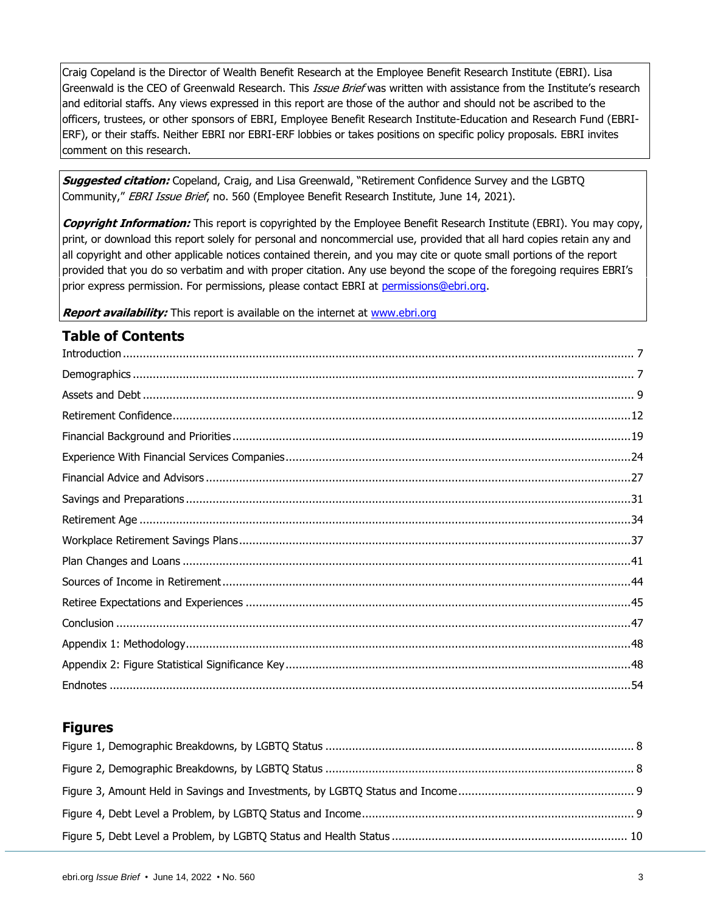Craig Copeland is the Director of Wealth Benefit Research at the Employee Benefit Research Institute (EBRI). Lisa Greenwald is the CEO of Greenwald Research. This Issue Brief was written with assistance from the Institute's research and editorial staffs. Any views expressed in this report are those of the author and should not be ascribed to the officers, trustees, or other sponsors of EBRI, Employee Benefit Research Institute-Education and Research Fund (EBRI-ERF), or their staffs. Neither EBRI nor EBRI-ERF lobbies or takes positions on specific policy proposals. EBRI invites comment on this research.

**Suggested citation:** Copeland, Craig, and Lisa Greenwald, "Retirement Confidence Survey and the LGBTQ Community," EBRI Issue Brief, no. 560 (Employee Benefit Research Institute, June 14, 2021).

**Copyright Information:** This report is copyrighted by the Employee Benefit Research Institute (EBRI). You may copy, print, or download this report solely for personal and noncommercial use, provided that all hard copies retain any and all copyright and other applicable notices contained therein, and you may cite or quote small portions of the report provided that you do so verbatim and with proper citation. Any use beyond the scope of the foregoing requires EBRI's prior express permission. For permissions, please contact EBRI at [permissions@ebri.org.](mailto:permissions@ebri.org)

**Report availability:** This report is available on the internet at [www.ebri.org](file://///cetrom.net/EBRI$/EBRI_Data$/Users/stephen.blakely/Editing%20(Current)/IB/IB.Dec14.K-Update/Dec11-IB-K-update/www.ebri.org)

### **Table of Contents**

| $\label{prop:nonlinear} \textit{Introduction} \,\, \ldots \,\, \ldots \,\, \ldots \,\, \ldots \,\, \ldots \,\, \ldots \,\, \ldots \,\, \ldots \,\, \ldots \,\, \ldots \,\, \ldots \,\, \ldots \,\, \ldots \,\, \ldots \,\, \ldots \,\, \ldots \,\, \ldots \,\, \ldots \,\, \ldots \,\, \ldots \,\, \ldots \,\, \ldots \,\, \ldots \,\, \ldots \,\, \ldots \,\, \ldots \,\, \ldots \,\, \ldots \,\, \ldots \,\, \ldots \,\, \ldots \,\, \ldots \,\, \ldots \,\, \ldots \,\$ |  |
|----------------------------------------------------------------------------------------------------------------------------------------------------------------------------------------------------------------------------------------------------------------------------------------------------------------------------------------------------------------------------------------------------------------------------------------------------------------------------|--|
|                                                                                                                                                                                                                                                                                                                                                                                                                                                                            |  |
|                                                                                                                                                                                                                                                                                                                                                                                                                                                                            |  |
|                                                                                                                                                                                                                                                                                                                                                                                                                                                                            |  |
|                                                                                                                                                                                                                                                                                                                                                                                                                                                                            |  |
|                                                                                                                                                                                                                                                                                                                                                                                                                                                                            |  |
|                                                                                                                                                                                                                                                                                                                                                                                                                                                                            |  |
|                                                                                                                                                                                                                                                                                                                                                                                                                                                                            |  |
|                                                                                                                                                                                                                                                                                                                                                                                                                                                                            |  |
|                                                                                                                                                                                                                                                                                                                                                                                                                                                                            |  |
|                                                                                                                                                                                                                                                                                                                                                                                                                                                                            |  |
|                                                                                                                                                                                                                                                                                                                                                                                                                                                                            |  |
|                                                                                                                                                                                                                                                                                                                                                                                                                                                                            |  |
|                                                                                                                                                                                                                                                                                                                                                                                                                                                                            |  |
|                                                                                                                                                                                                                                                                                                                                                                                                                                                                            |  |
|                                                                                                                                                                                                                                                                                                                                                                                                                                                                            |  |
|                                                                                                                                                                                                                                                                                                                                                                                                                                                                            |  |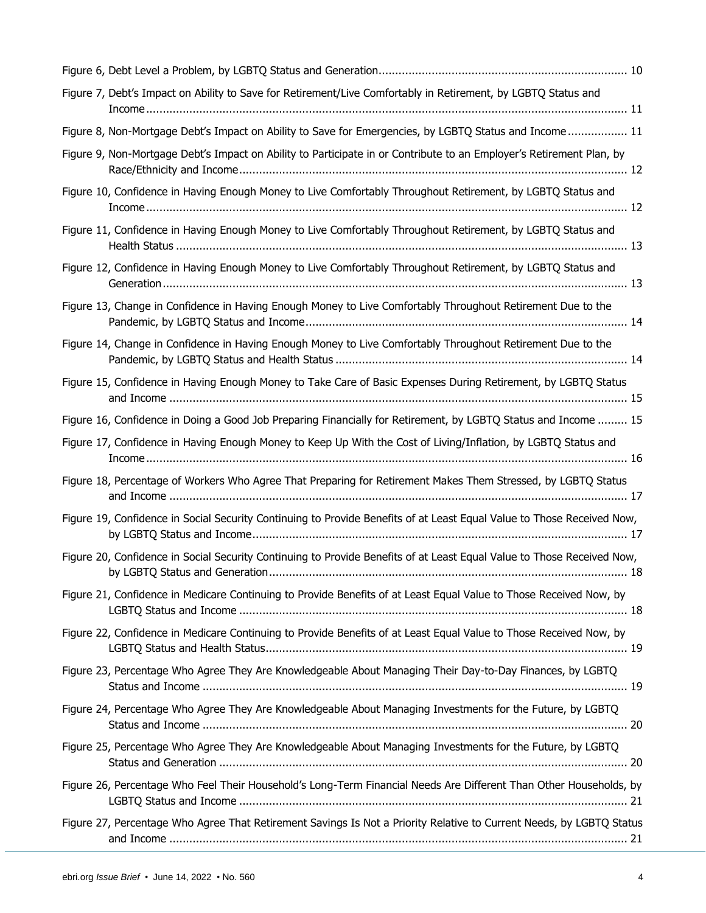| Figure 7, Debt's Impact on Ability to Save for Retirement/Live Comfortably in Retirement, by LGBTQ Status and          |
|------------------------------------------------------------------------------------------------------------------------|
| Figure 8, Non-Mortgage Debt's Impact on Ability to Save for Emergencies, by LGBTQ Status and Income 11                 |
| Figure 9, Non-Mortgage Debt's Impact on Ability to Participate in or Contribute to an Employer's Retirement Plan, by   |
| Figure 10, Confidence in Having Enough Money to Live Comfortably Throughout Retirement, by LGBTQ Status and            |
| Figure 11, Confidence in Having Enough Money to Live Comfortably Throughout Retirement, by LGBTQ Status and            |
| Figure 12, Confidence in Having Enough Money to Live Comfortably Throughout Retirement, by LGBTQ Status and            |
| Figure 13, Change in Confidence in Having Enough Money to Live Comfortably Throughout Retirement Due to the            |
| Figure 14, Change in Confidence in Having Enough Money to Live Comfortably Throughout Retirement Due to the            |
| Figure 15, Confidence in Having Enough Money to Take Care of Basic Expenses During Retirement, by LGBTQ Status         |
| Figure 16, Confidence in Doing a Good Job Preparing Financially for Retirement, by LGBTQ Status and Income  15         |
| Figure 17, Confidence in Having Enough Money to Keep Up With the Cost of Living/Inflation, by LGBTQ Status and         |
| Figure 18, Percentage of Workers Who Agree That Preparing for Retirement Makes Them Stressed, by LGBTQ Status          |
| Figure 19, Confidence in Social Security Continuing to Provide Benefits of at Least Equal Value to Those Received Now, |
| Figure 20, Confidence in Social Security Continuing to Provide Benefits of at Least Equal Value to Those Received Now, |
| Figure 21, Confidence in Medicare Continuing to Provide Benefits of at Least Equal Value to Those Received Now, by     |
| Figure 22, Confidence in Medicare Continuing to Provide Benefits of at Least Equal Value to Those Received Now, by     |
| Figure 23, Percentage Who Agree They Are Knowledgeable About Managing Their Day-to-Day Finances, by LGBTQ              |
| Figure 24, Percentage Who Agree They Are Knowledgeable About Managing Investments for the Future, by LGBTQ             |
| Figure 25, Percentage Who Agree They Are Knowledgeable About Managing Investments for the Future, by LGBTQ             |
| Figure 26, Percentage Who Feel Their Household's Long-Term Financial Needs Are Different Than Other Households, by     |
| Figure 27, Percentage Who Agree That Retirement Savings Is Not a Priority Relative to Current Needs, by LGBTQ Status   |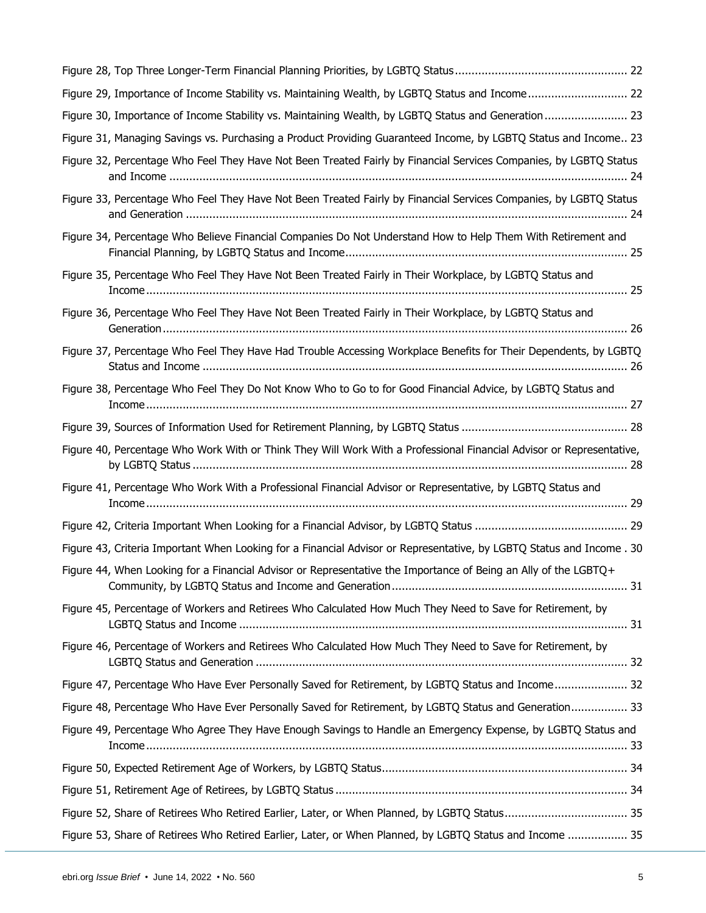| Figure 29, Importance of Income Stability vs. Maintaining Wealth, by LGBTQ Status and Income 22                       |
|-----------------------------------------------------------------------------------------------------------------------|
| Figure 30, Importance of Income Stability vs. Maintaining Wealth, by LGBTQ Status and Generation  23                  |
| Figure 31, Managing Savings vs. Purchasing a Product Providing Guaranteed Income, by LGBTQ Status and Income 23       |
| Figure 32, Percentage Who Feel They Have Not Been Treated Fairly by Financial Services Companies, by LGBTQ Status     |
| Figure 33, Percentage Who Feel They Have Not Been Treated Fairly by Financial Services Companies, by LGBTQ Status     |
| Figure 34, Percentage Who Believe Financial Companies Do Not Understand How to Help Them With Retirement and          |
| Figure 35, Percentage Who Feel They Have Not Been Treated Fairly in Their Workplace, by LGBTQ Status and              |
| Figure 36, Percentage Who Feel They Have Not Been Treated Fairly in Their Workplace, by LGBTQ Status and              |
| Figure 37, Percentage Who Feel They Have Had Trouble Accessing Workplace Benefits for Their Dependents, by LGBTQ      |
| Figure 38, Percentage Who Feel They Do Not Know Who to Go to for Good Financial Advice, by LGBTQ Status and           |
|                                                                                                                       |
| Figure 40, Percentage Who Work With or Think They Will Work With a Professional Financial Advisor or Representative,  |
| Figure 41, Percentage Who Work With a Professional Financial Advisor or Representative, by LGBTQ Status and           |
|                                                                                                                       |
| Figure 43, Criteria Important When Looking for a Financial Advisor or Representative, by LGBTQ Status and Income . 30 |
| Figure 44, When Looking for a Financial Advisor or Representative the Importance of Being an Ally of the LGBTQ+       |
| Figure 45, Percentage of Workers and Retirees Who Calculated How Much They Need to Save for Retirement, by            |
| Figure 46, Percentage of Workers and Retirees Who Calculated How Much They Need to Save for Retirement, by            |
| Figure 47, Percentage Who Have Ever Personally Saved for Retirement, by LGBTQ Status and Income 32                    |
| Figure 48, Percentage Who Have Ever Personally Saved for Retirement, by LGBTQ Status and Generation 33                |
| Figure 49, Percentage Who Agree They Have Enough Savings to Handle an Emergency Expense, by LGBTQ Status and          |
|                                                                                                                       |
|                                                                                                                       |
| Figure 52, Share of Retirees Who Retired Earlier, Later, or When Planned, by LGBTQ Status 35                          |
| Figure 53, Share of Retirees Who Retired Earlier, Later, or When Planned, by LGBTQ Status and Income  35              |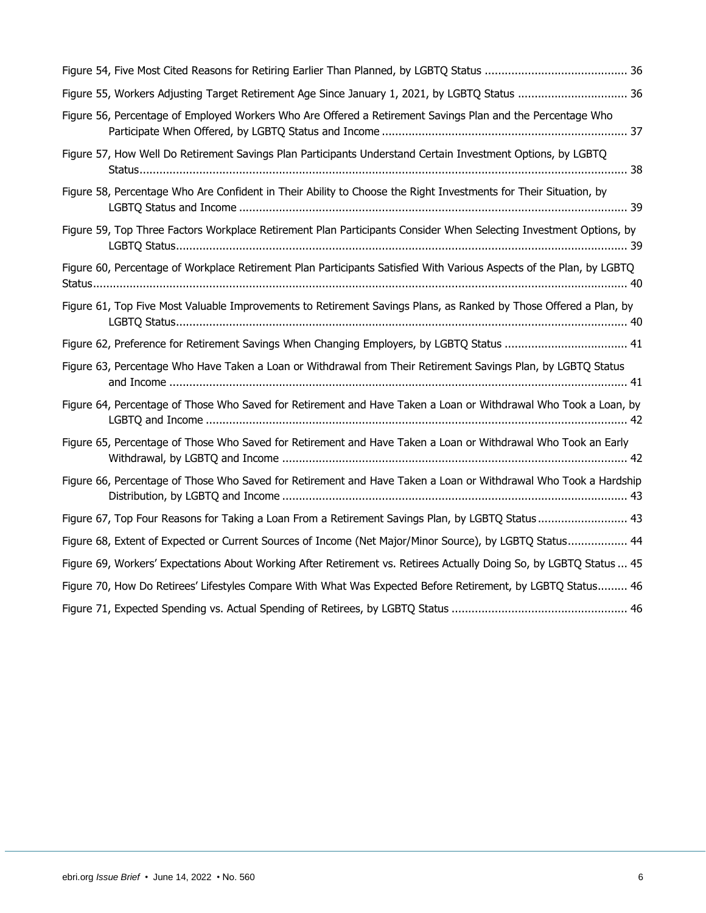| Figure 55, Workers Adjusting Target Retirement Age Since January 1, 2021, by LGBTQ Status  36                        |
|----------------------------------------------------------------------------------------------------------------------|
| Figure 56, Percentage of Employed Workers Who Are Offered a Retirement Savings Plan and the Percentage Who           |
| Figure 57, How Well Do Retirement Savings Plan Participants Understand Certain Investment Options, by LGBTQ          |
| Figure 58, Percentage Who Are Confident in Their Ability to Choose the Right Investments for Their Situation, by     |
| Figure 59, Top Three Factors Workplace Retirement Plan Participants Consider When Selecting Investment Options, by   |
| Figure 60, Percentage of Workplace Retirement Plan Participants Satisfied With Various Aspects of the Plan, by LGBTQ |
| Figure 61, Top Five Most Valuable Improvements to Retirement Savings Plans, as Ranked by Those Offered a Plan, by    |
| Figure 62, Preference for Retirement Savings When Changing Employers, by LGBTQ Status  41                            |
| Figure 63, Percentage Who Have Taken a Loan or Withdrawal from Their Retirement Savings Plan, by LGBTQ Status        |
| Figure 64, Percentage of Those Who Saved for Retirement and Have Taken a Loan or Withdrawal Who Took a Loan, by      |
| Figure 65, Percentage of Those Who Saved for Retirement and Have Taken a Loan or Withdrawal Who Took an Early        |
| Figure 66, Percentage of Those Who Saved for Retirement and Have Taken a Loan or Withdrawal Who Took a Hardship      |
| Figure 67, Top Four Reasons for Taking a Loan From a Retirement Savings Plan, by LGBTQ Status 43                     |
| Figure 68, Extent of Expected or Current Sources of Income (Net Major/Minor Source), by LGBTQ Status 44              |
| Figure 69, Workers' Expectations About Working After Retirement vs. Retirees Actually Doing So, by LGBTQ Status  45  |
| Figure 70, How Do Retirees' Lifestyles Compare With What Was Expected Before Retirement, by LGBTQ Status 46          |
|                                                                                                                      |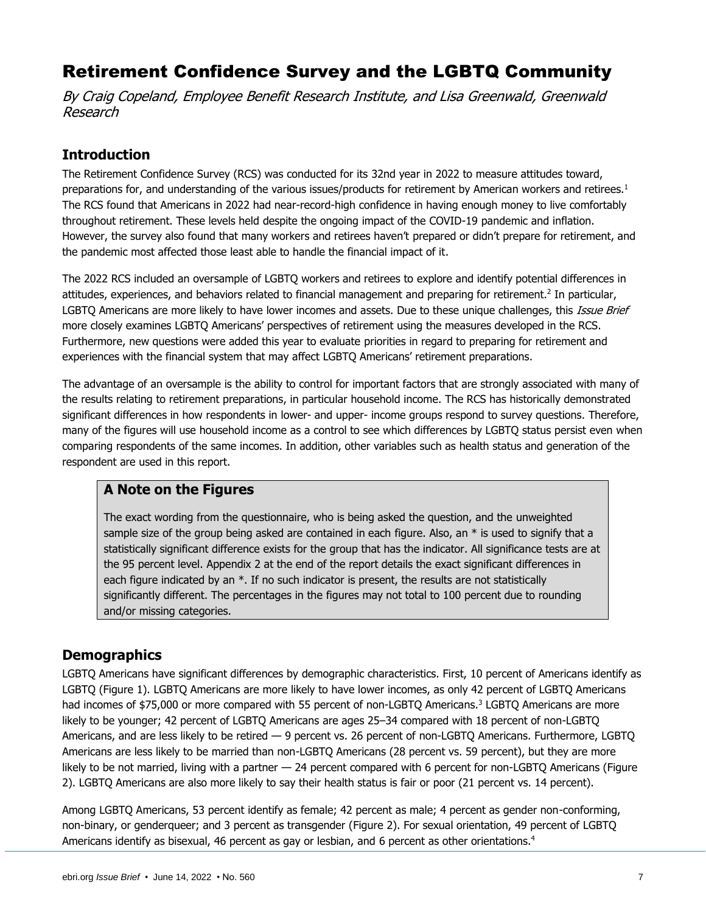# Retirement Confidence Survey and the LGBTQ Community

By Craig Copeland, Employee Benefit Research Institute, and Lisa Greenwald, Greenwald Research

# <span id="page-6-0"></span>**Introduction**

The Retirement Confidence Survey (RCS) was conducted for its 32nd year in 2022 to measure attitudes toward, preparations for, and understanding of the various issues/products for retirement by American workers and retirees.<sup>1</sup> The RCS found that Americans in 2022 had near-record-high confidence in having enough money to live comfortably throughout retirement. These levels held despite the ongoing impact of the COVID-19 pandemic and inflation. However, the survey also found that many workers and retirees haven't prepared or didn't prepare for retirement, and the pandemic most affected those least able to handle the financial impact of it.

The 2022 RCS included an oversample of LGBTQ workers and retirees to explore and identify potential differences in attitudes, experiences, and behaviors related to financial management and preparing for retirement.<sup>2</sup> In particular, LGBTO Americans are more likely to have lower incomes and assets. Due to these unique challenges, this *Issue Brief* more closely examines LGBTQ Americans' perspectives of retirement using the measures developed in the RCS. Furthermore, new questions were added this year to evaluate priorities in regard to preparing for retirement and experiences with the financial system that may affect LGBTQ Americans' retirement preparations.

The advantage of an oversample is the ability to control for important factors that are strongly associated with many of the results relating to retirement preparations, in particular household income. The RCS has historically demonstrated significant differences in how respondents in lower- and upper- income groups respond to survey questions. Therefore, many of the figures will use household income as a control to see which differences by LGBTQ status persist even when comparing respondents of the same incomes. In addition, other variables such as health status and generation of the respondent are used in this report.

### **A Note on the Figures**

The exact wording from the questionnaire, who is being asked the question, and the unweighted sample size of the group being asked are contained in each figure. Also, an  $*$  is used to signify that a statistically significant difference exists for the group that has the indicator. All significance tests are at the 95 percent level. Appendix 2 at the end of the report details the exact significant differences in each figure indicated by an  $*$ . If no such indicator is present, the results are not statistically significantly different. The percentages in the figures may not total to 100 percent due to rounding and/or missing categories.

# <span id="page-6-1"></span>**Demographics**

LGBTQ Americans have significant differences by demographic characteristics. First, 10 percent of Americans identify as LGBTQ (Figure 1). LGBTQ Americans are more likely to have lower incomes, as only 42 percent of LGBTQ Americans had incomes of \$75,000 or more compared with 55 percent of non-LGBTQ Americans.<sup>3</sup> LGBTQ Americans are more likely to be younger; 42 percent of LGBTQ Americans are ages 25–34 compared with 18 percent of non-LGBTQ Americans, and are less likely to be retired — 9 percent vs. 26 percent of non-LGBTQ Americans. Furthermore, LGBTQ Americans are less likely to be married than non-LGBTQ Americans (28 percent vs. 59 percent), but they are more likely to be not married, living with a partner — 24 percent compared with 6 percent for non-LGBTQ Americans (Figure 2). LGBTQ Americans are also more likely to say their health status is fair or poor (21 percent vs. 14 percent).

Among LGBTQ Americans, 53 percent identify as female; 42 percent as male; 4 percent as gender non-conforming, non-binary, or genderqueer; and 3 percent as transgender (Figure 2). For sexual orientation, 49 percent of LGBTQ Americans identify as bisexual, 46 percent as gay or lesbian, and 6 percent as other orientations.<sup>4</sup>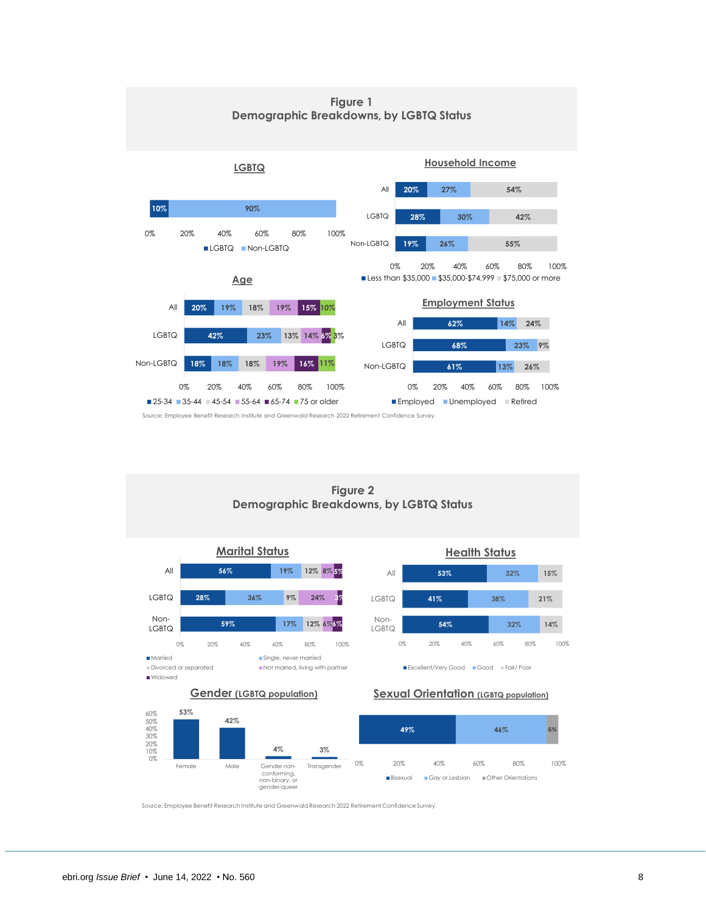

Source: Employee Benefit Research Institute and Greenwald Research 2022 Retirement Confidence Survey.

**Figure 2 Demographic Breakdowns, by LGBTQ Status**

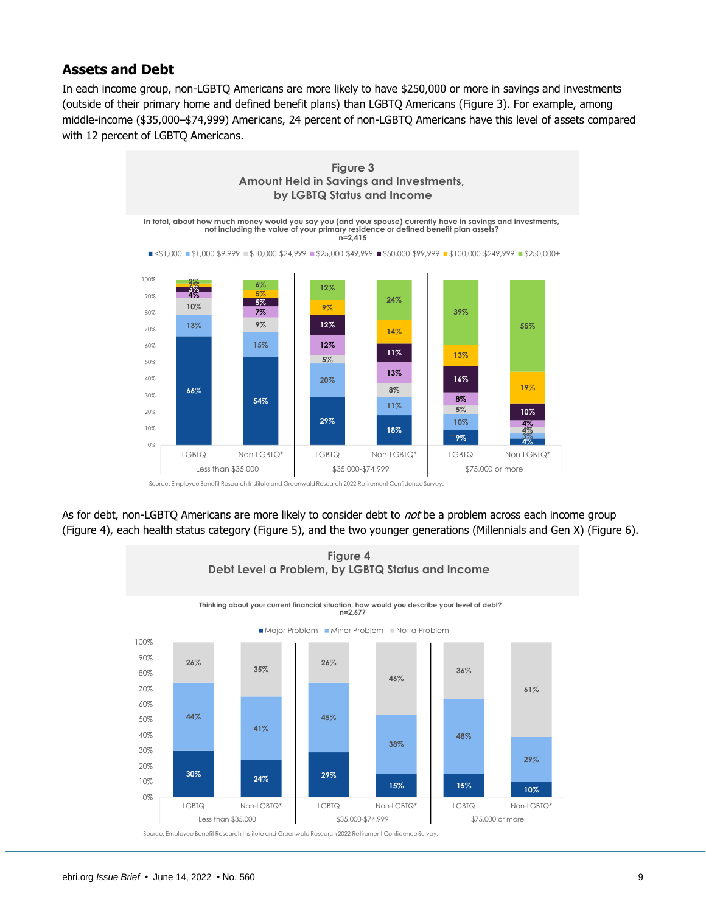# <span id="page-8-0"></span>**Assets and Debt**

In each income group, non-LGBTQ Americans are more likely to have \$250,000 or more in savings and investments (outside of their primary home and defined benefit plans) than LGBTQ Americans (Figure 3). For example, among middle-income (\$35,000–\$74,999) Americans, 24 percent of non-LGBTQ Americans have this level of assets compared with 12 percent of LGBTQ Americans.



As for debt, non-LGBTQ Americans are more likely to consider debt to not be a problem across each income group (Figure 4), each health status category (Figure 5), and the two younger generations (Millennials and Gen X) (Figure 6).

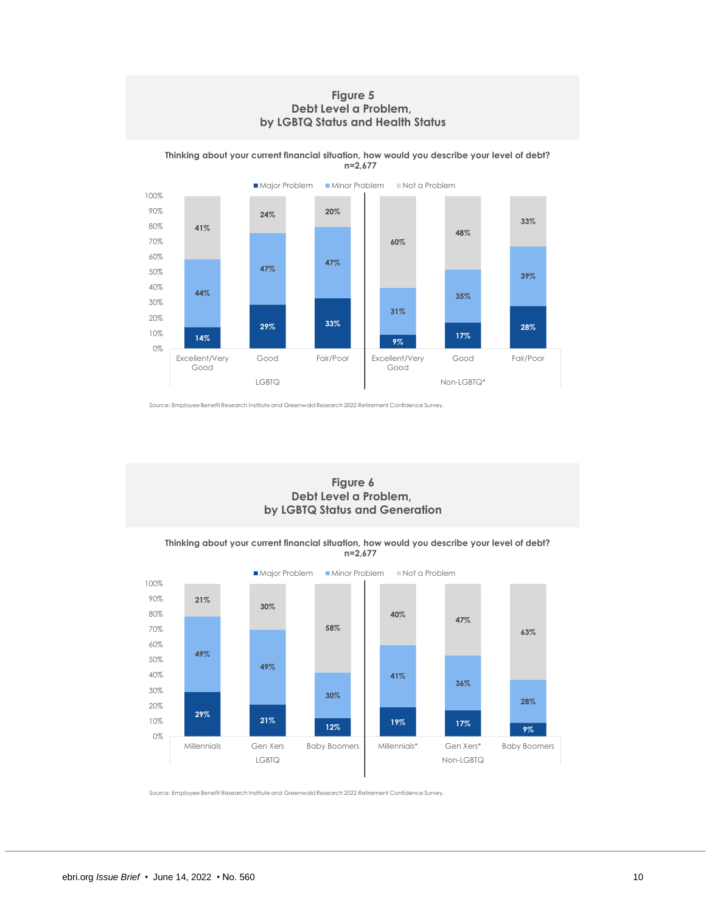### **Figure 5 Debt Level a Problem, by LGBTQ Status and Health Status**

**14% 29% 33% 9% 17% 28% 44% 47% 47% 31% 35% 39% 41% 24% 20% 60% 48% 33%** 0% 10% 20% 30% 40% 50% 60% 70% 80% 90% 100% Excellent/Very Good Good Fair/Poor Excellent/Very Good Good Fair/Poor LGBTQ Non-LGBTQ\* ■ Major Problem ■ Minor Problem ■ Not a Problem

**Thinking about your current financial situation, how would you describe your level of debt? n=2,677**

Source: Employee Benefit Research Institute and Greenwald Research 2022 Retirement Confidence Survey.

**Figure 6 Debt Level a Problem, by LGBTQ Status and Generation**

**Thinking about your current financial situation, how would you describe your level of debt? n=2,677**

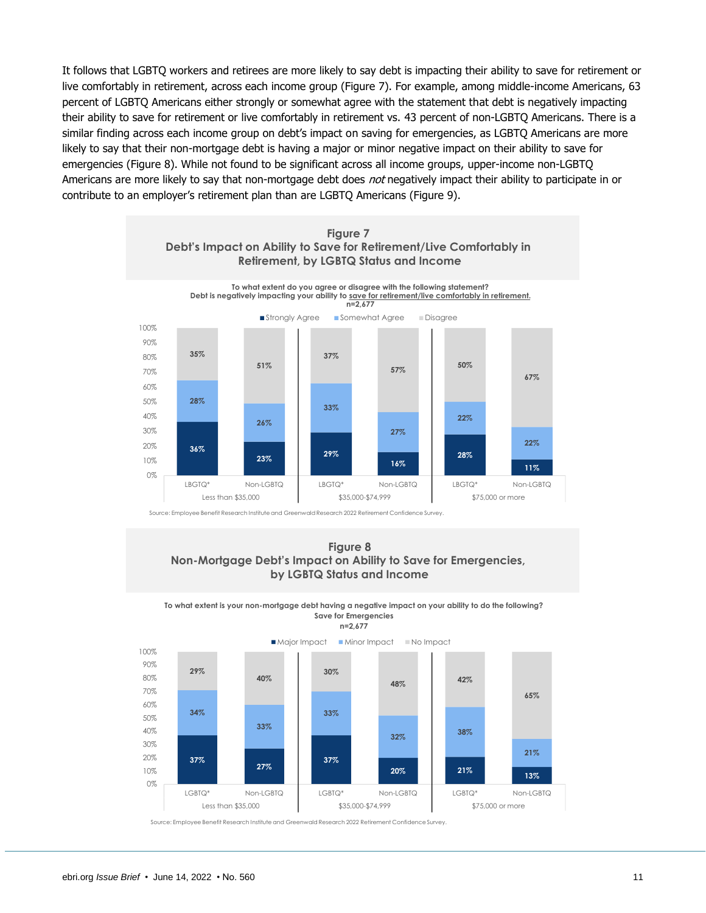It follows that LGBTQ workers and retirees are more likely to say debt is impacting their ability to save for retirement or live comfortably in retirement, across each income group (Figure 7). For example, among middle-income Americans, 63 percent of LGBTQ Americans either strongly or somewhat agree with the statement that debt is negatively impacting their ability to save for retirement or live comfortably in retirement vs. 43 percent of non-LGBTQ Americans. There is a similar finding across each income group on debt's impact on saving for emergencies, as LGBTQ Americans are more likely to say that their non-mortgage debt is having a major or minor negative impact on their ability to save for emergencies (Figure 8). While not found to be significant across all income groups, upper-income non-LGBTQ Americans are more likely to say that non-mortgage debt does not negatively impact their ability to participate in or contribute to an employer's retirement plan than are LGBTQ Americans (Figure 9).



Source: Employee Benefit Research Institute and Greenwald Research 2022 Retirement Confidence Survey.

### **Figure 8 Non-Mortgage Debt's Impact on Ability to Save for Emergencies, by LGBTQ Status and Income**

**To what extent is your non-mortgage debt having a negative impact on your ability to do the following? Save for Emergencies n=2,677**



Major Impact Minor Impact No Impact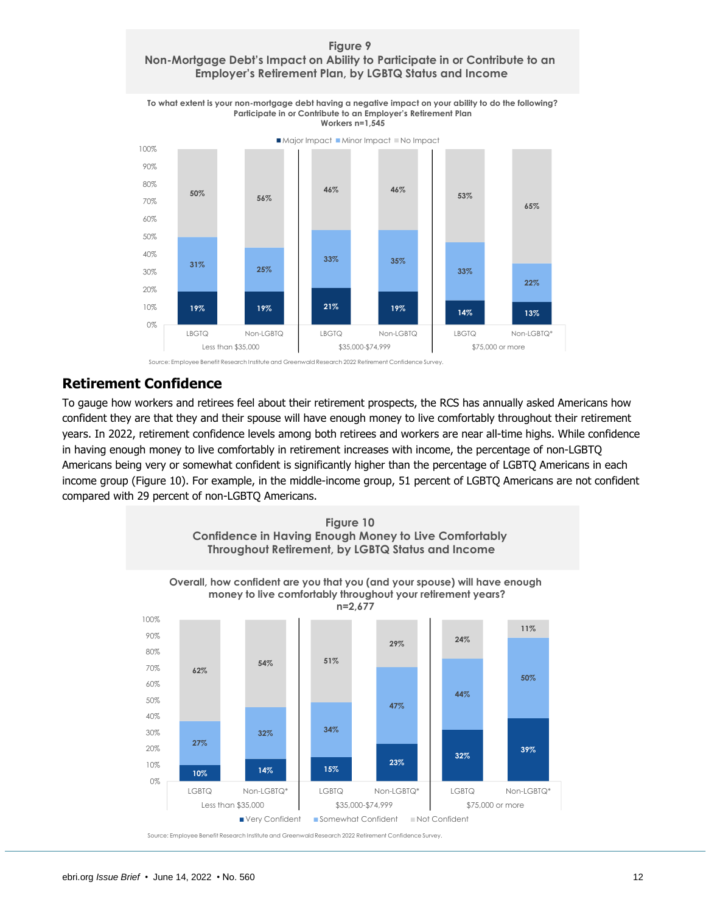### **Figure 9 Non-Mortgage Debt's Impact on Ability to Participate in or Contribute to an Employer's Retirement Plan, by LGBTQ Status and Income**





# <span id="page-11-0"></span>**Retirement Confidence**

To gauge how workers and retirees feel about their retirement prospects, the RCS has annually asked Americans how confident they are that they and their spouse will have enough money to live comfortably throughout their retirement years. In 2022, retirement confidence levels among both retirees and workers are near all-time highs. While confidence in having enough money to live comfortably in retirement increases with income, the percentage of non-LGBTQ Americans being very or somewhat confident is significantly higher than the percentage of LGBTQ Americans in each income group (Figure 10). For example, in the middle-income group, 51 percent of LGBTQ Americans are not confident compared with 29 percent of non-LGBTQ Americans.

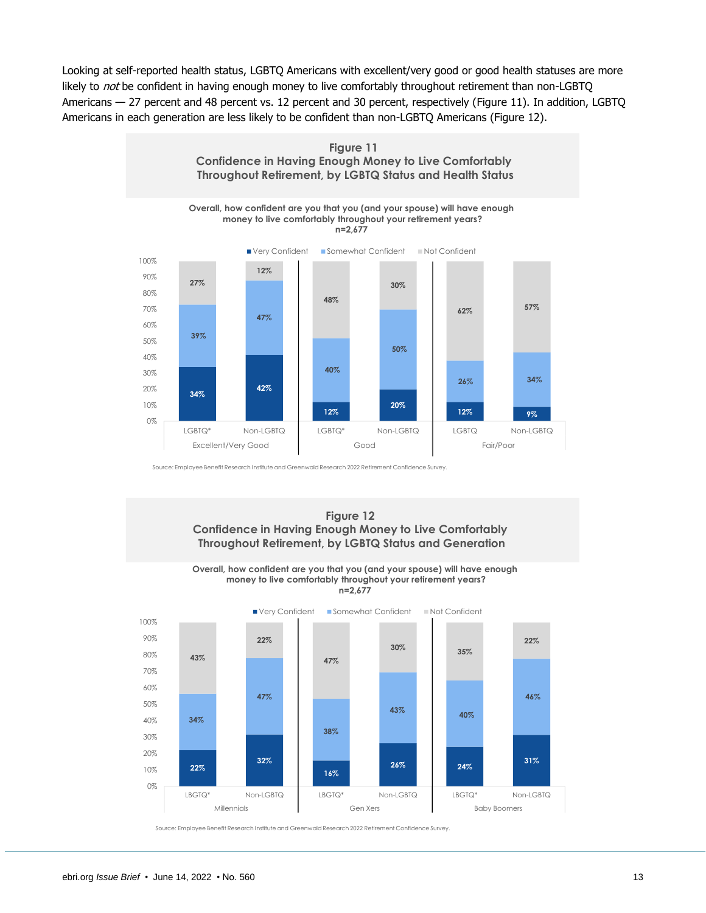Looking at self-reported health status, LGBTQ Americans with excellent/very good or good health statuses are more likely to not be confident in having enough money to live comfortably throughout retirement than non-LGBTQ Americans — 27 percent and 48 percent vs. 12 percent and 30 percent, respectively (Figure 11). In addition, LGBTQ Americans in each generation are less likely to be confident than non-LGBTQ Americans (Figure 12).



Source: Employee Benefit Research Institute and Greenwald Research 2022 Retirement Confidence Survey.



**Overall, how confident are you that you (and your spouse) will have enough money to live comfortably throughout your retirement years? n=2,677**

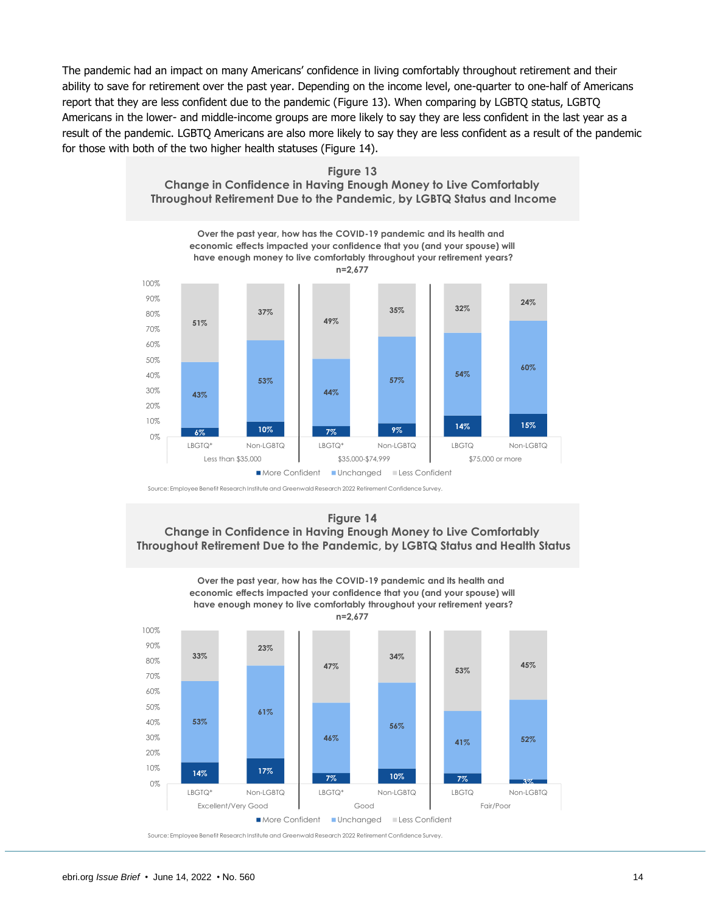The pandemic had an impact on many Americans' confidence in living comfortably throughout retirement and their ability to save for retirement over the past year. Depending on the income level, one-quarter to one-half of Americans report that they are less confident due to the pandemic (Figure 13). When comparing by LGBTQ status, LGBTQ Americans in the lower- and middle-income groups are more likely to say they are less confident in the last year as a result of the pandemic. LGBTQ Americans are also more likely to say they are less confident as a result of the pandemic for those with both of the two higher health statuses (Figure 14).



**Figure 13 Change in Confidence in Having Enough Money to Live Comfortably**

Source: Employee Benefit Research Institute and Greenwald Research 2022 Retirement Confidence Survey.

**Figure 14 Change in Confidence in Having Enough Money to Live Comfortably Throughout Retirement Due to the Pandemic, by LGBTQ Status and Health Status**

**Over the past year, how has the COVID-19 pandemic and its health and** 

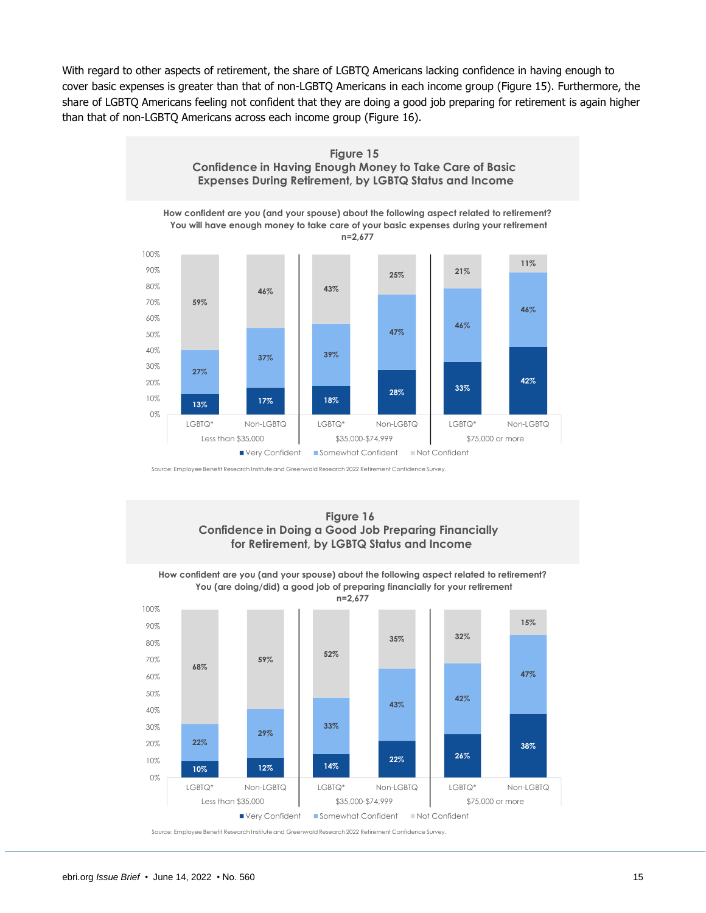With regard to other aspects of retirement, the share of LGBTQ Americans lacking confidence in having enough to cover basic expenses is greater than that of non-LGBTQ Americans in each income group (Figure 15). Furthermore, the share of LGBTQ Americans feeling not confident that they are doing a good job preparing for retirement is again higher than that of non-LGBTQ Americans across each income group (Figure 16).



Source: Employee Benefit Research Institute and Greenwald Research 2022 Retirement Confidence Survey.



**How confident are you (and your spouse) about the following aspect related to retirement? You (are doing/did) a good job of preparing financially for your retirement**

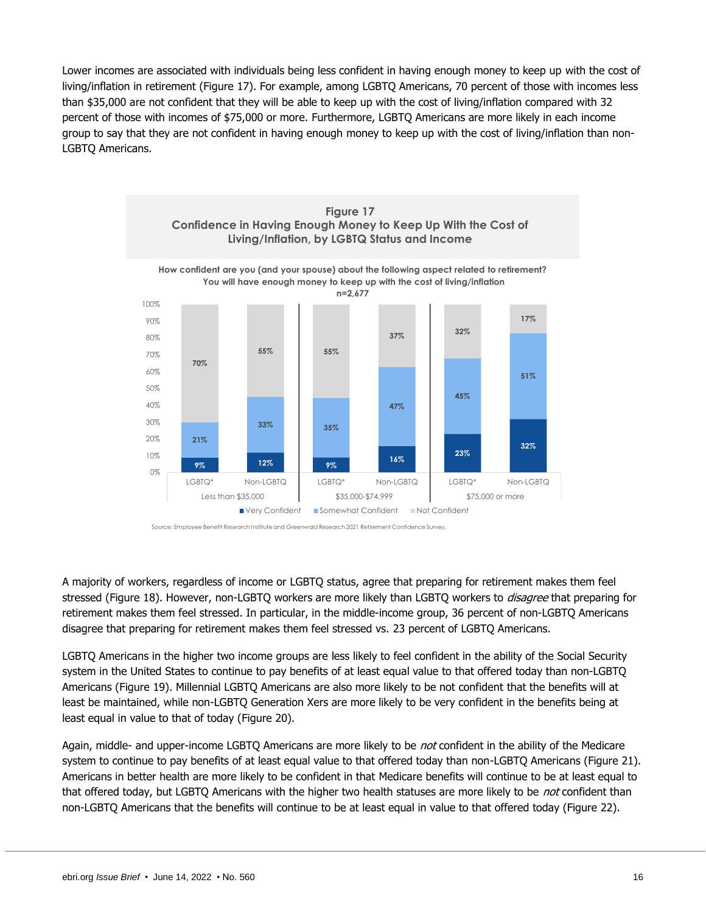Lower incomes are associated with individuals being less confident in having enough money to keep up with the cost of living/inflation in retirement (Figure 17). For example, among LGBTQ Americans, 70 percent of those with incomes less than \$35,000 are not confident that they will be able to keep up with the cost of living/inflation compared with 32 percent of those with incomes of \$75,000 or more. Furthermore, LGBTQ Americans are more likely in each income group to say that they are not confident in having enough money to keep up with the cost of living/inflation than non-LGBTQ Americans.



Source: Employee Benefit Research Institute and Greenwald Research 2021 Retirement Confidence Survey.

A majority of workers, regardless of income or LGBTQ status, agree that preparing for retirement makes them feel stressed (Figure 18). However, non-LGBTQ workers are more likely than LGBTQ workers to *disagree* that preparing for retirement makes them feel stressed. In particular, in the middle-income group, 36 percent of non-LGBTQ Americans disagree that preparing for retirement makes them feel stressed vs. 23 percent of LGBTQ Americans.

LGBTQ Americans in the higher two income groups are less likely to feel confident in the ability of the Social Security system in the United States to continue to pay benefits of at least equal value to that offered today than non-LGBTQ Americans (Figure 19). Millennial LGBTQ Americans are also more likely to be not confident that the benefits will at least be maintained, while non-LGBTQ Generation Xers are more likely to be very confident in the benefits being at least equal in value to that of today (Figure 20).

Again, middle- and upper-income LGBTQ Americans are more likely to be not confident in the ability of the Medicare system to continue to pay benefits of at least equal value to that offered today than non-LGBTQ Americans (Figure 21). Americans in better health are more likely to be confident in that Medicare benefits will continue to be at least equal to that offered today, but LGBTQ Americans with the higher two health statuses are more likely to be not confident than non-LGBTQ Americans that the benefits will continue to be at least equal in value to that offered today (Figure 22).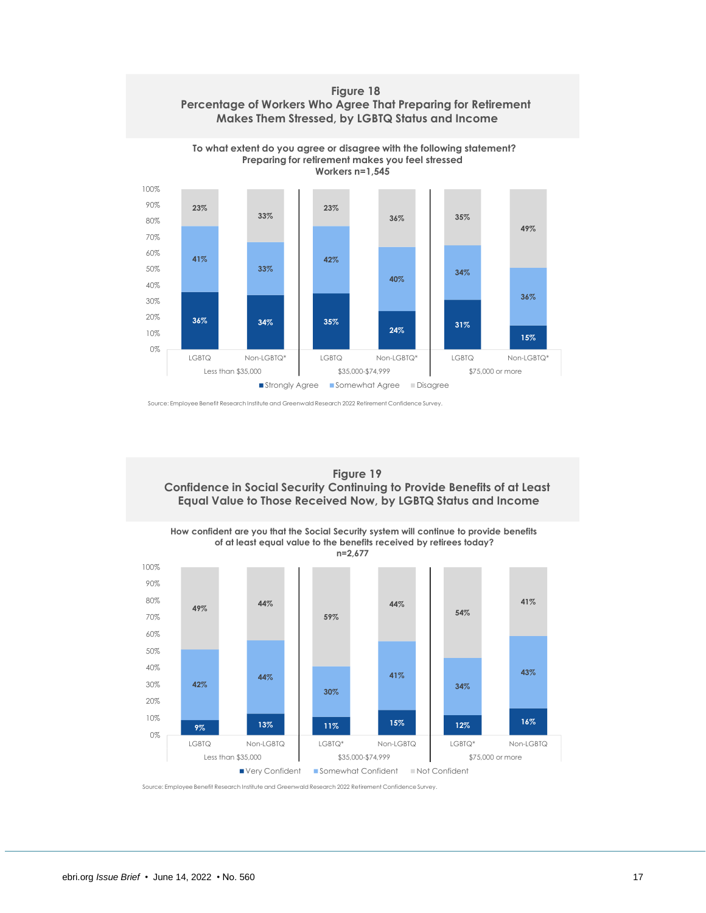



Source: Employee Benefit Research Institute and Greenwald Research 2022 Retirement Confidence Survey.





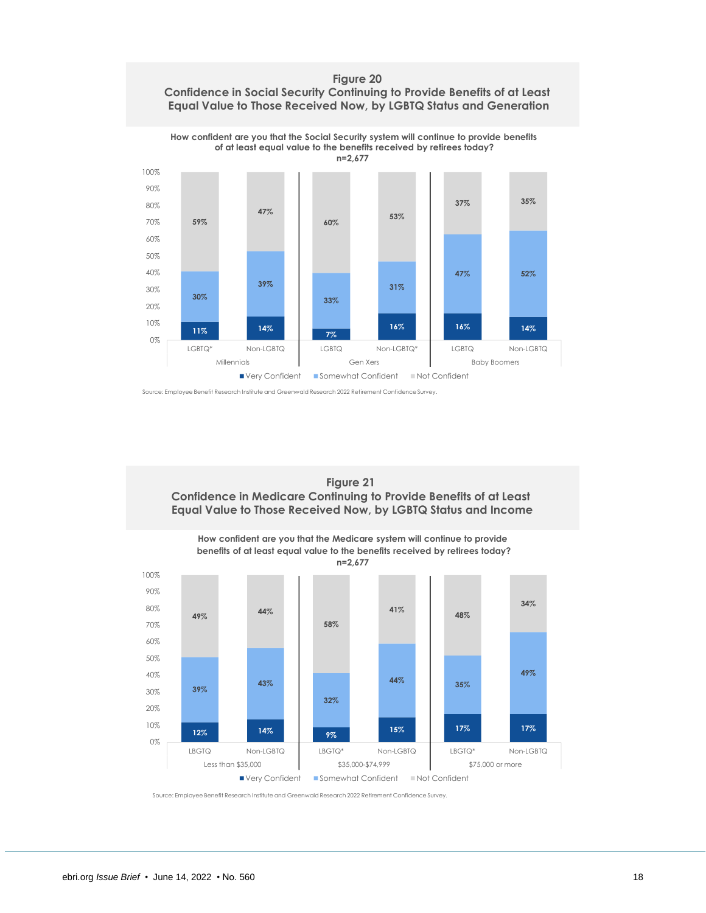### **Figure 20 Confidence in Social Security Continuing to Provide Benefits of at Least Equal Value to Those Received Now, by LGBTQ Status and Generation**



Source: Employee Benefit Research Institute and Greenwald Research 2022 Retirement Confidence Survey.

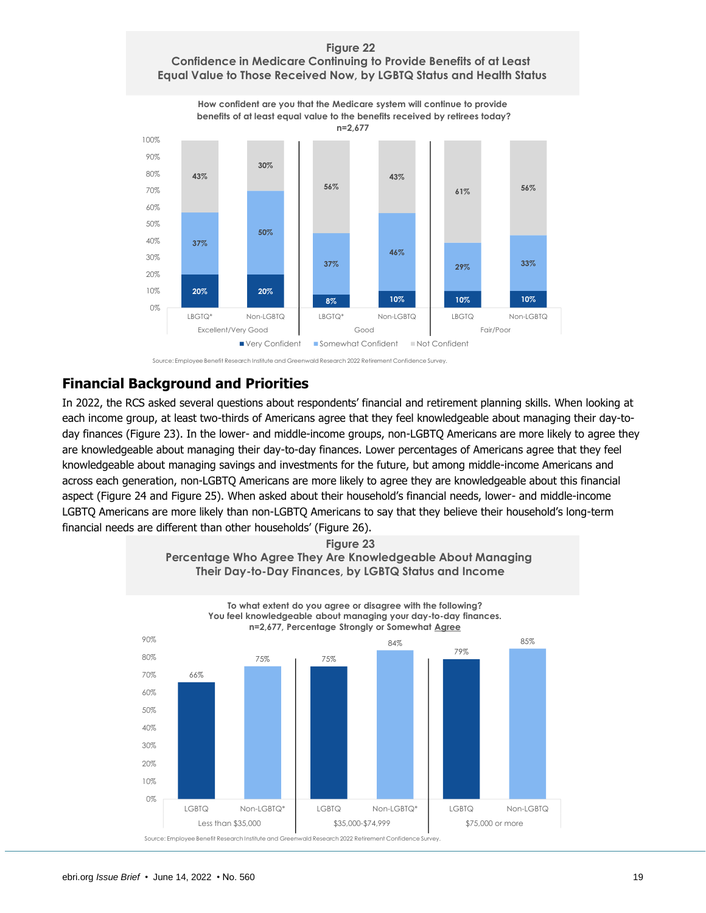### **Confidence in Medicare Continuing to Provide Benefits of at Least Equal Value to Those Received Now, by LGBTQ Status and Health Status**



Source: Employee Benefit Research Institute and Greenwald Research 2022 Retirement Confidence Survey.

# <span id="page-18-0"></span>**Financial Background and Priorities**

In 2022, the RCS asked several questions about respondents' financial and retirement planning skills. When looking at each income group, at least two-thirds of Americans agree that they feel knowledgeable about managing their day-today finances (Figure 23). In the lower- and middle-income groups, non-LGBTQ Americans are more likely to agree they are knowledgeable about managing their day-to-day finances. Lower percentages of Americans agree that they feel knowledgeable about managing savings and investments for the future, but among middle-income Americans and across each generation, non-LGBTQ Americans are more likely to agree they are knowledgeable about this financial aspect (Figure 24 and Figure 25). When asked about their household's financial needs, lower- and middle-income LGBTQ Americans are more likely than non-LGBTQ Americans to say that they believe their household's long-term financial needs are different than other households' (Figure 26).

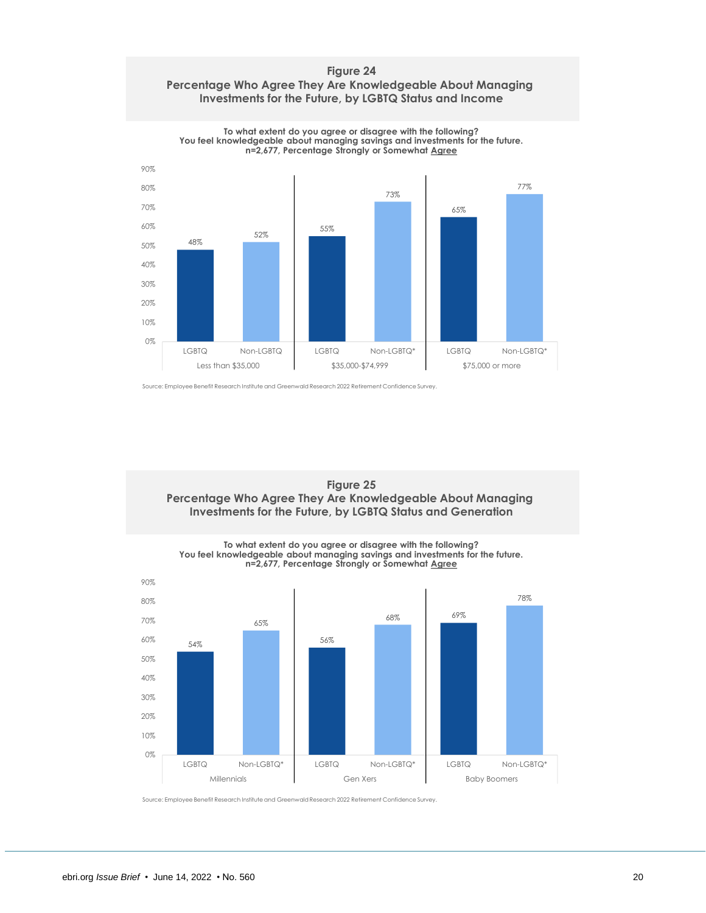



**To what extent do you agree or disagree with the following?**

Source: Employee Benefit Research Institute and Greenwald Research 2022 Retirement Confidence Survey.



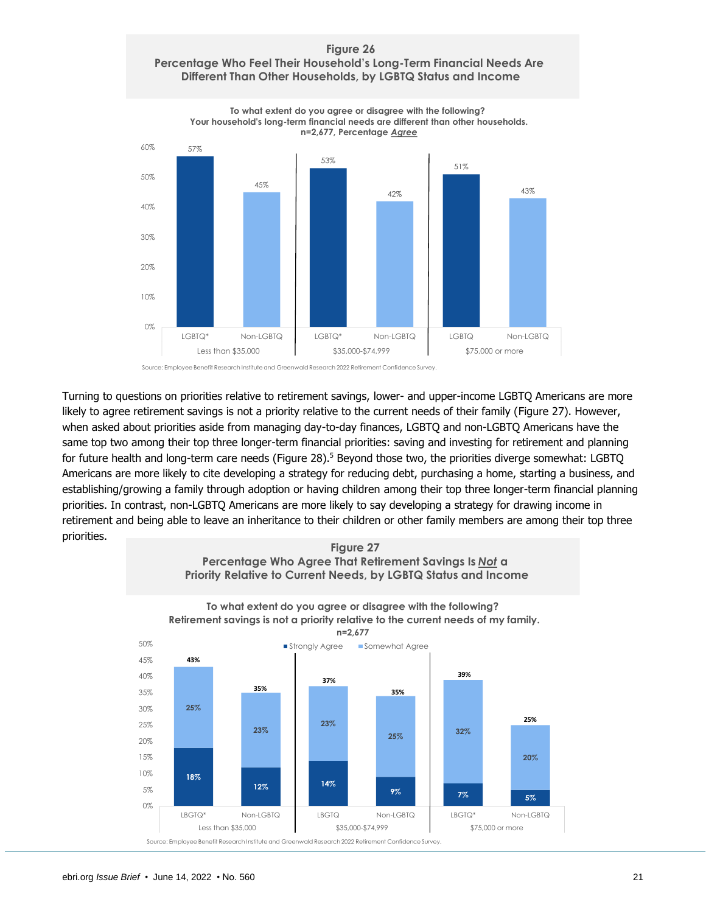### **Figure 26 Percentage Who Feel Their Household's Long-Term Financial Needs Are Different Than Other Households, by LGBTQ Status and Income**



Source: Employee Benefit Research Institute and Greenwald Research 2022 Retirement Confidence Survey.

Turning to questions on priorities relative to retirement savings, lower- and upper-income LGBTQ Americans are more likely to agree retirement savings is not a priority relative to the current needs of their family (Figure 27). However, when asked about priorities aside from managing day-to-day finances, LGBTQ and non-LGBTQ Americans have the same top two among their top three longer-term financial priorities: saving and investing for retirement and planning for future health and long-term care needs (Figure 28).<sup>5</sup> Beyond those two, the priorities diverge somewhat: LGBTQ Americans are more likely to cite developing a strategy for reducing debt, purchasing a home, starting a business, and establishing/growing a family through adoption or having children among their top three longer-term financial planning priorities. In contrast, non-LGBTQ Americans are more likely to say developing a strategy for drawing income in retirement and being able to leave an inheritance to their children or other family members are among their top three priorities.

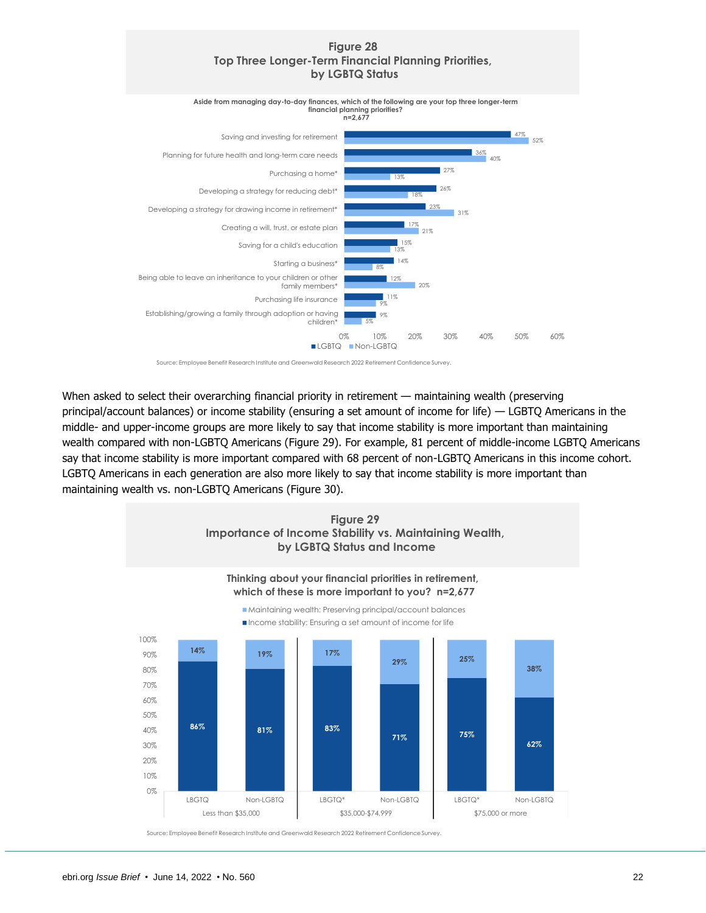### **Figure 28 Top Three Longer-Term Financial Planning Priorities, by LGBTQ Status**



Source: Employee Benefit Research Institute and Greenwald Research 2022 Retirement Confidence Survey.

When asked to select their overarching financial priority in retirement — maintaining wealth (preserving principal/account balances) or income stability (ensuring a set amount of income for life) — LGBTQ Americans in the middle- and upper-income groups are more likely to say that income stability is more important than maintaining wealth compared with non-LGBTQ Americans (Figure 29). For example, 81 percent of middle-income LGBTQ Americans say that income stability is more important compared with 68 percent of non-LGBTQ Americans in this income cohort. LGBTQ Americans in each generation are also more likely to say that income stability is more important than maintaining wealth vs. non-LGBTQ Americans (Figure 30).

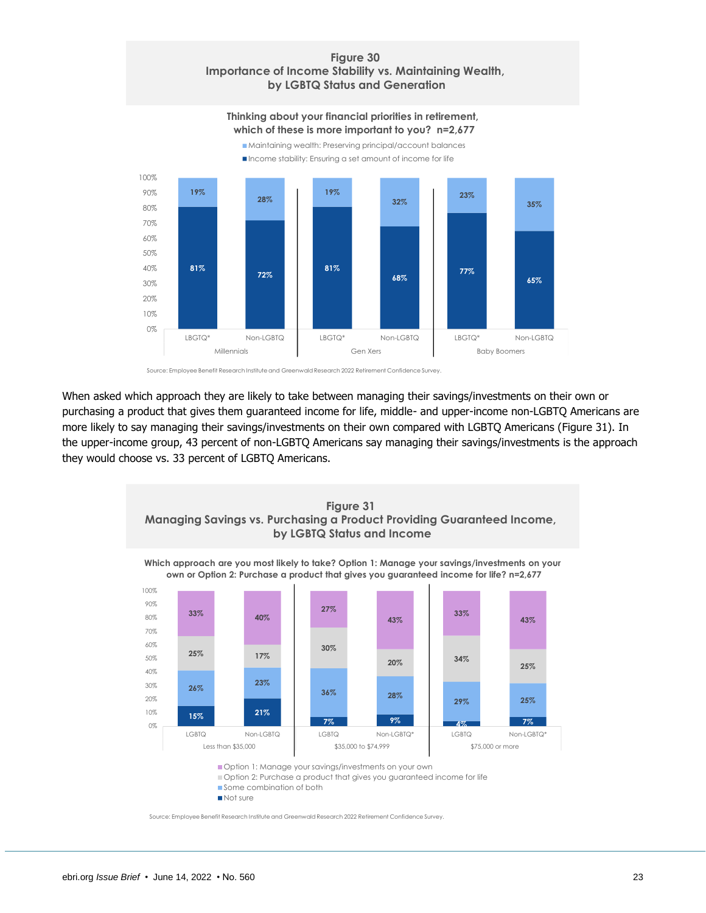### **Figure 30 Importance of Income Stability vs. Maintaining Wealth, by LGBTQ Status and Generation**

### Maintaining wealth: Preserving principal/account balances **Thinking about your financial priorities in retirement, which of these is more important to you? n=2,677**



Source: Employee Benefit Research Institute and Greenwald Research 2022 Retirement Confidence Survey.

When asked which approach they are likely to take between managing their savings/investments on their own or purchasing a product that gives them guaranteed income for life, middle- and upper-income non-LGBTQ Americans are more likely to say managing their savings/investments on their own compared with LGBTQ Americans (Figure 31). In the upper-income group, 43 percent of non-LGBTQ Americans say managing their savings/investments is the approach they would choose vs. 33 percent of LGBTQ Americans.



Option 2: Purchase a product that gives you guaranteed income for life

Some combination of both

Not sure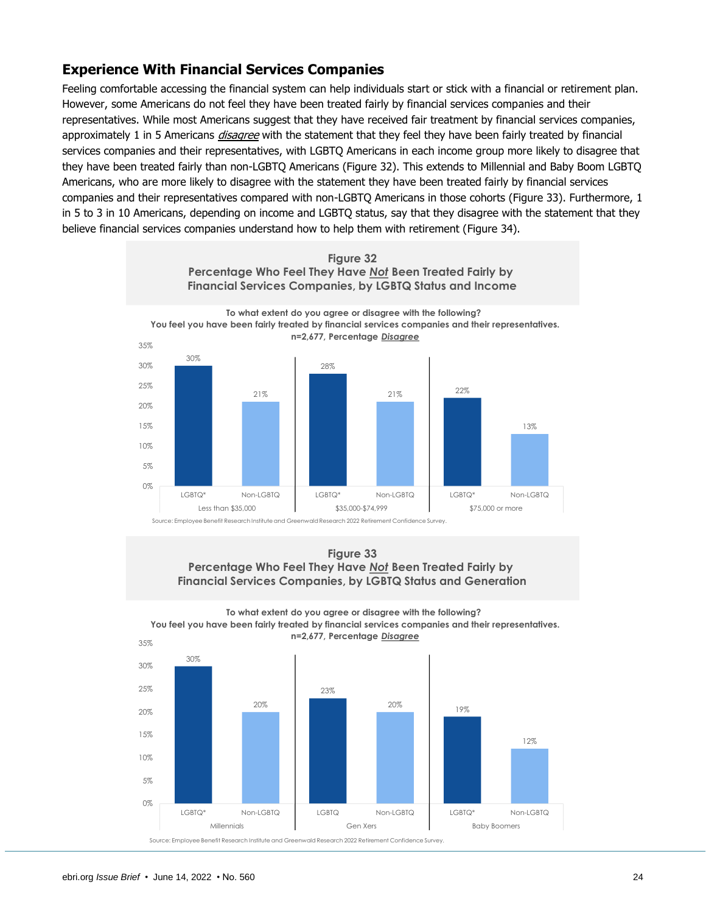# <span id="page-23-0"></span>**Experience With Financial Services Companies**

Feeling comfortable accessing the financial system can help individuals start or stick with a financial or retirement plan. However, some Americans do not feel they have been treated fairly by financial services companies and their representatives. While most Americans suggest that they have received fair treatment by financial services companies, approximately 1 in 5 Americans *disagree* with the statement that they feel they have been fairly treated by financial services companies and their representatives, with LGBTQ Americans in each income group more likely to disagree that they have been treated fairly than non-LGBTQ Americans (Figure 32). This extends to Millennial and Baby Boom LGBTQ Americans, who are more likely to disagree with the statement they have been treated fairly by financial services companies and their representatives compared with non-LGBTQ Americans in those cohorts (Figure 33). Furthermore, 1 in 5 to 3 in 10 Americans, depending on income and LGBTQ status, say that they disagree with the statement that they believe financial services companies understand how to help them with retirement (Figure 34).



### **Figure 33 Percentage Who Feel They Have** *Not* **Been Treated Fairly by Financial Services Companies, by LGBTQ Status and Generation**



**To what extent do you agree or disagree with the following? You feel you have been fairly treated by financial services companies and their representatives.**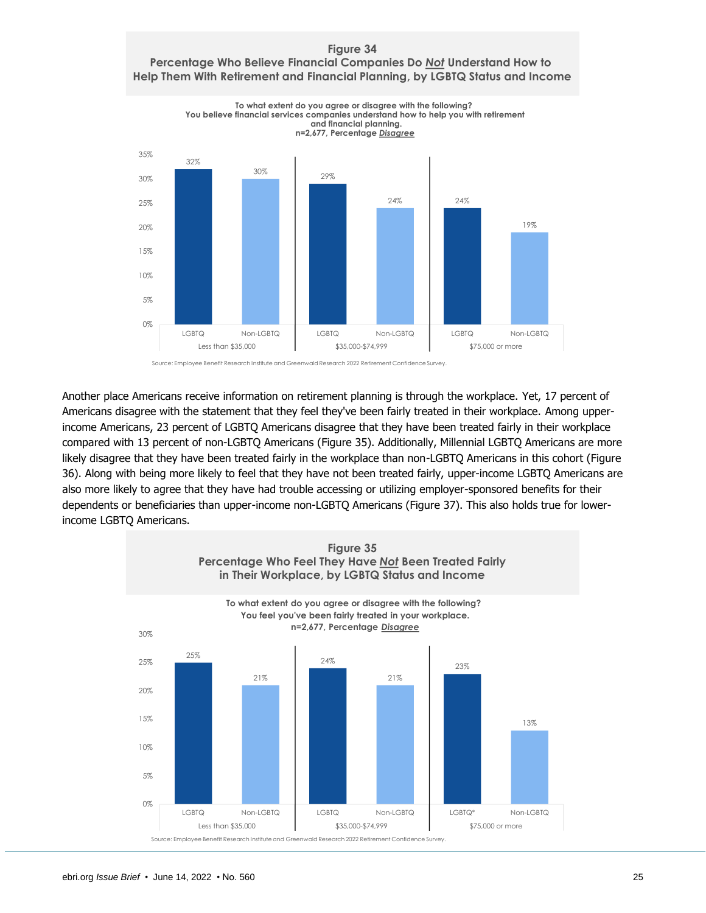



Another place Americans receive information on retirement planning is through the workplace. Yet, 17 percent of Americans disagree with the statement that they feel they've been fairly treated in their workplace. Among upperincome Americans, 23 percent of LGBTQ Americans disagree that they have been treated fairly in their workplace compared with 13 percent of non-LGBTQ Americans (Figure 35). Additionally, Millennial LGBTQ Americans are more likely disagree that they have been treated fairly in the workplace than non-LGBTQ Americans in this cohort (Figure 36). Along with being more likely to feel that they have not been treated fairly, upper-income LGBTQ Americans are also more likely to agree that they have had trouble accessing or utilizing employer-sponsored benefits for their dependents or beneficiaries than upper-income non-LGBTQ Americans (Figure 37). This also holds true for lowerincome LGBTQ Americans.

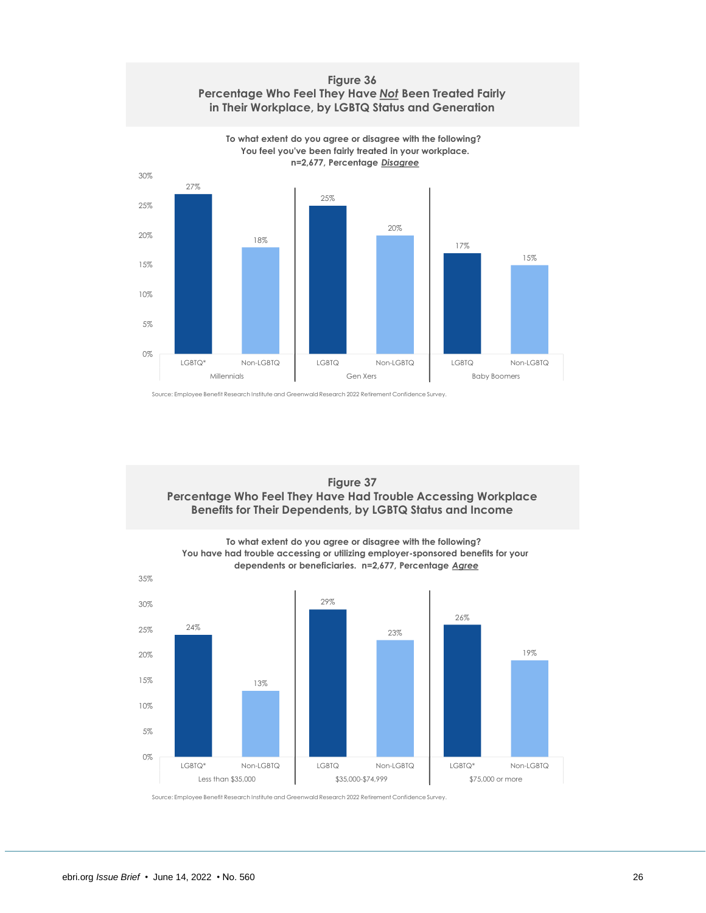



Source: Employee Benefit Research Institute and Greenwald Research 2022 Retirement Confidence Survey.



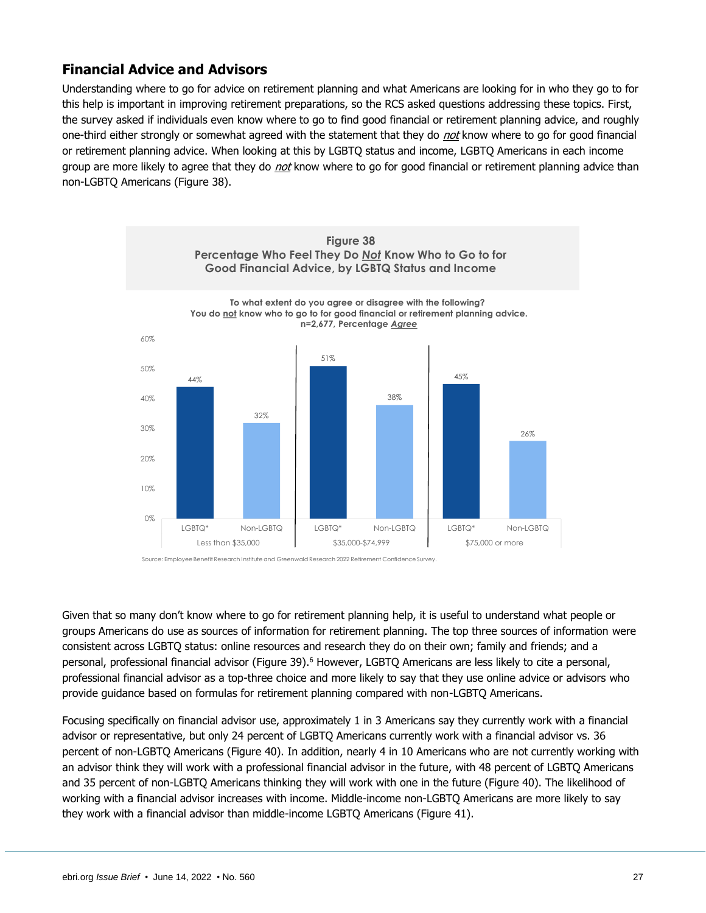# <span id="page-26-0"></span>**Financial Advice and Advisors**

Understanding where to go for advice on retirement planning and what Americans are looking for in who they go to for this help is important in improving retirement preparations, so the RCS asked questions addressing these topics. First, the survey asked if individuals even know where to go to find good financial or retirement planning advice, and roughly one-third either strongly or somewhat agreed with the statement that they do not know where to go for good financial or retirement planning advice. When looking at this by LGBTQ status and income, LGBTQ Americans in each income group are more likely to agree that they do *not* know where to go for good financial or retirement planning advice than non-LGBTQ Americans (Figure 38).



Source: Employee Benefit Research Institute and Greenwald Research 2022 Retirement Confidence Survey.

Given that so many don't know where to go for retirement planning help, it is useful to understand what people or groups Americans do use as sources of information for retirement planning. The top three sources of information were consistent across LGBTQ status: online resources and research they do on their own; family and friends; and a personal, professional financial advisor (Figure 39).<sup>6</sup> However, LGBTQ Americans are less likely to cite a personal, professional financial advisor as a top-three choice and more likely to say that they use online advice or advisors who provide guidance based on formulas for retirement planning compared with non-LGBTQ Americans.

Focusing specifically on financial advisor use, approximately 1 in 3 Americans say they currently work with a financial advisor or representative, but only 24 percent of LGBTQ Americans currently work with a financial advisor vs. 36 percent of non-LGBTQ Americans (Figure 40). In addition, nearly 4 in 10 Americans who are not currently working with an advisor think they will work with a professional financial advisor in the future, with 48 percent of LGBTQ Americans and 35 percent of non-LGBTQ Americans thinking they will work with one in the future (Figure 40). The likelihood of working with a financial advisor increases with income. Middle-income non-LGBTQ Americans are more likely to say they work with a financial advisor than middle-income LGBTQ Americans (Figure 41).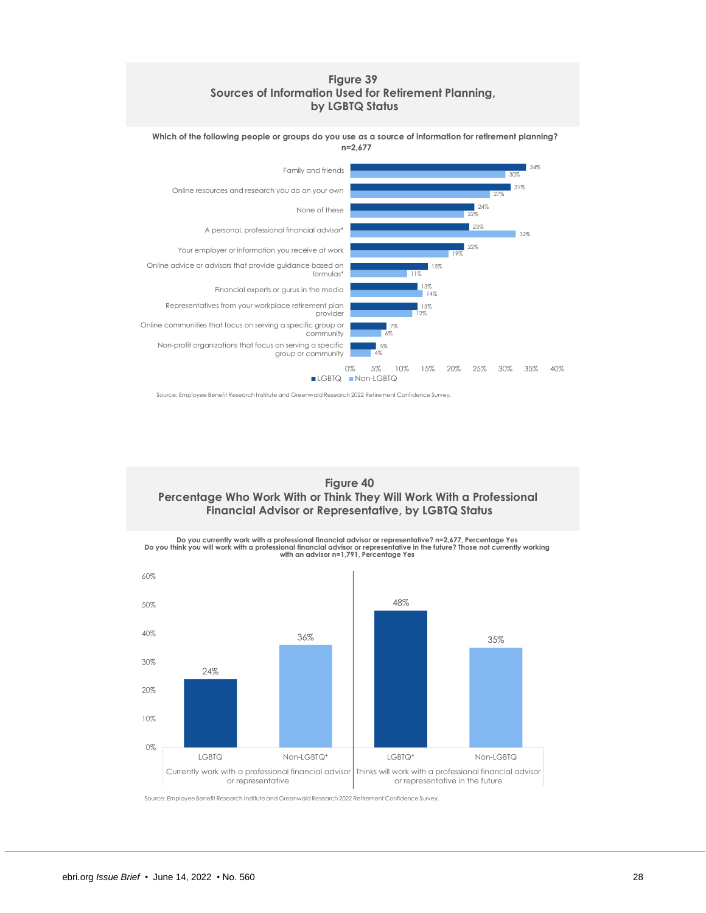### **Figure 39 Sources of Information Used for Retirement Planning, by LGBTQ Status**

**Which of the following people or groups do you use as a source of information for retirement planning? n=2,677**



Source: Employee Benefit Research Institute and Greenwald Research 2022 Retirement Confidence Survey.

**Figure 40 Percentage Who Work With or Think They Will Work With a Professional Financial Advisor or Representative, by LGBTQ Status**



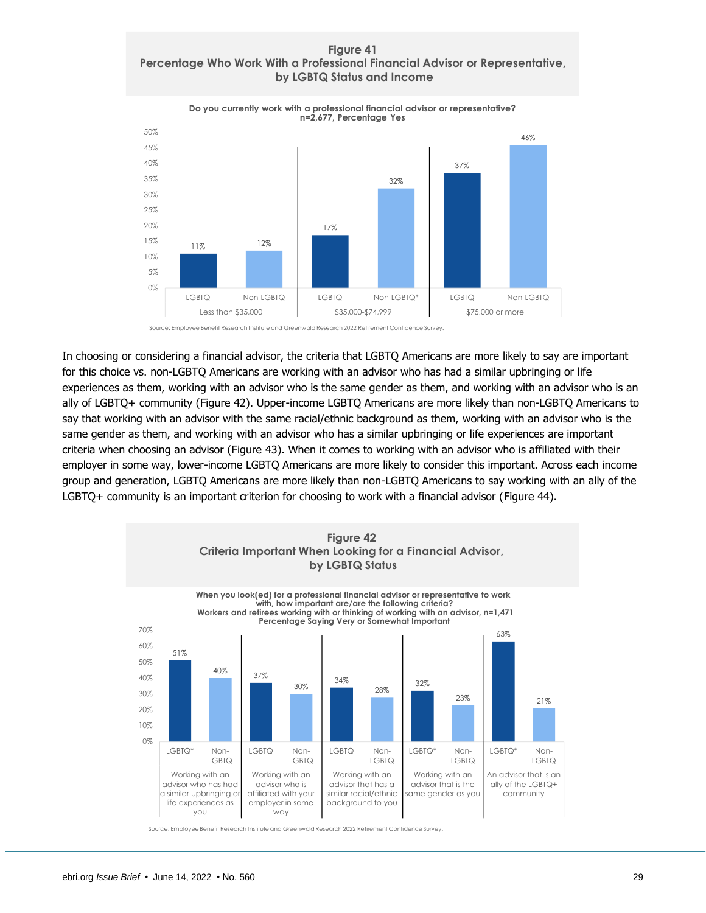### **Figure 41 Percentage Who Work With a Professional Financial Advisor or Representative, by LGBTQ Status and Income**



Source: Employee Benefit Research Institute and Greenwald Research 2022 Retirement Confidence Survey.

In choosing or considering a financial advisor, the criteria that LGBTQ Americans are more likely to say are important for this choice vs. non-LGBTQ Americans are working with an advisor who has had a similar upbringing or life experiences as them, working with an advisor who is the same gender as them, and working with an advisor who is an ally of LGBTQ+ community (Figure 42). Upper-income LGBTQ Americans are more likely than non-LGBTQ Americans to say that working with an advisor with the same racial/ethnic background as them, working with an advisor who is the same gender as them, and working with an advisor who has a similar upbringing or life experiences are important criteria when choosing an advisor (Figure 43). When it comes to working with an advisor who is affiliated with their employer in some way, lower-income LGBTQ Americans are more likely to consider this important. Across each income group and generation, LGBTQ Americans are more likely than non-LGBTQ Americans to say working with an ally of the LGBTQ+ community is an important criterion for choosing to work with a financial advisor (Figure 44).

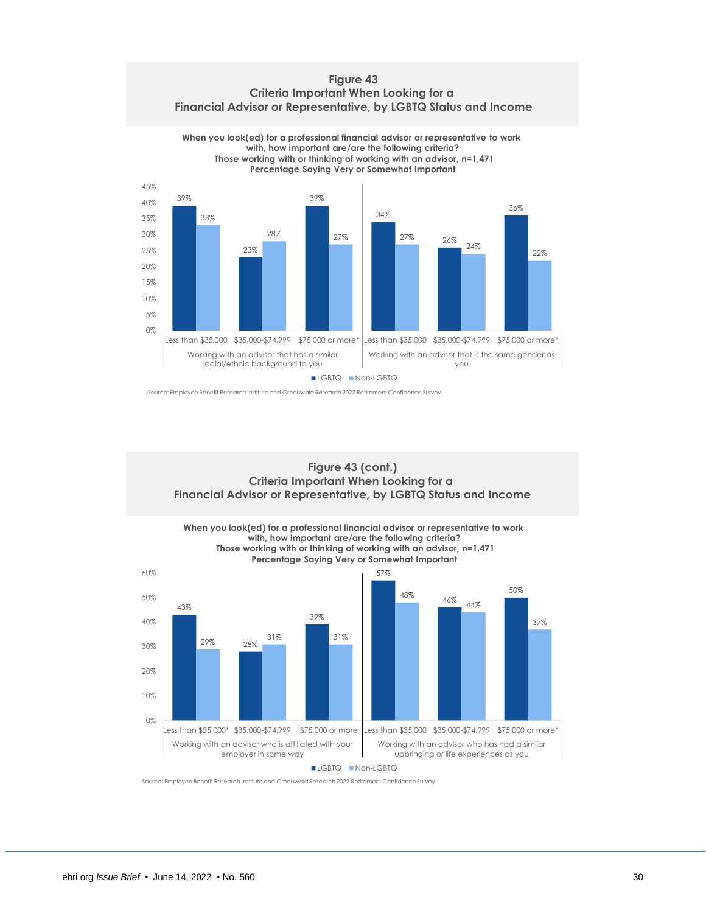**Figure 43 Criteria Important When Looking for a Financial Advisor or Representative, by LGBTQ Status and Income**



Source: Employee Benefit Research Institute and Greenwald Research 2022 Retirement Confidence Survey.

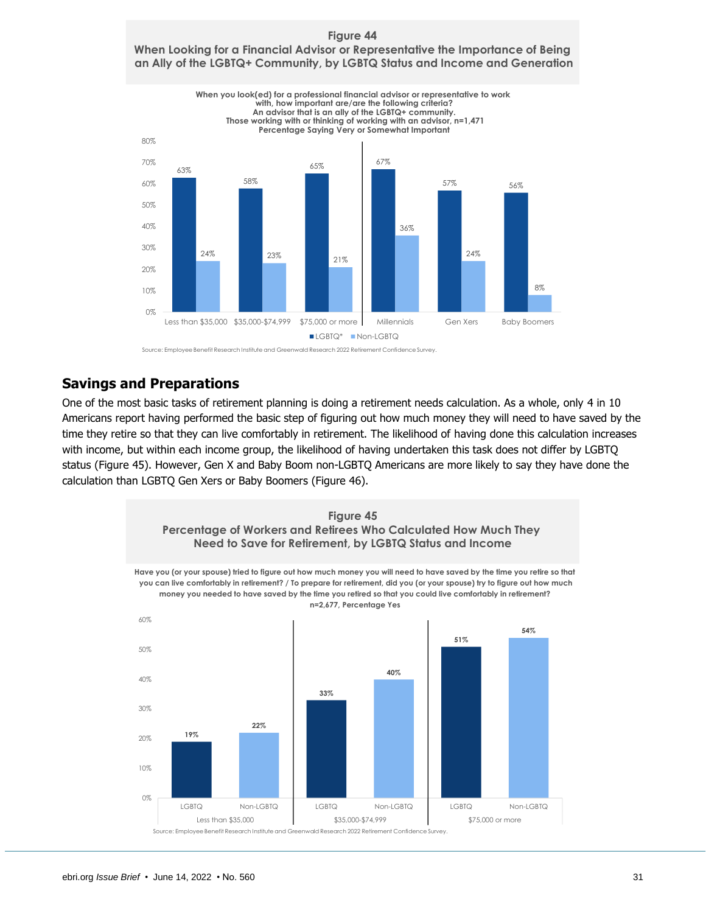

### **Figure 44 When Looking for a Financial Advisor or Representative the Importance of Being an Ally of the LGBTQ+ Community, by LGBTQ Status and Income and Generation**

Source: Employee Benefit Research Institute and Greenwald Research 2022 Retirement Confidence Survey.

# <span id="page-30-0"></span>**Savings and Preparations**

One of the most basic tasks of retirement planning is doing a retirement needs calculation. As a whole, only 4 in 10 Americans report having performed the basic step of figuring out how much money they will need to have saved by the time they retire so that they can live comfortably in retirement. The likelihood of having done this calculation increases with income, but within each income group, the likelihood of having undertaken this task does not differ by LGBTQ status (Figure 45). However, Gen X and Baby Boom non-LGBTQ Americans are more likely to say they have done the calculation than LGBTQ Gen Xers or Baby Boomers (Figure 46).

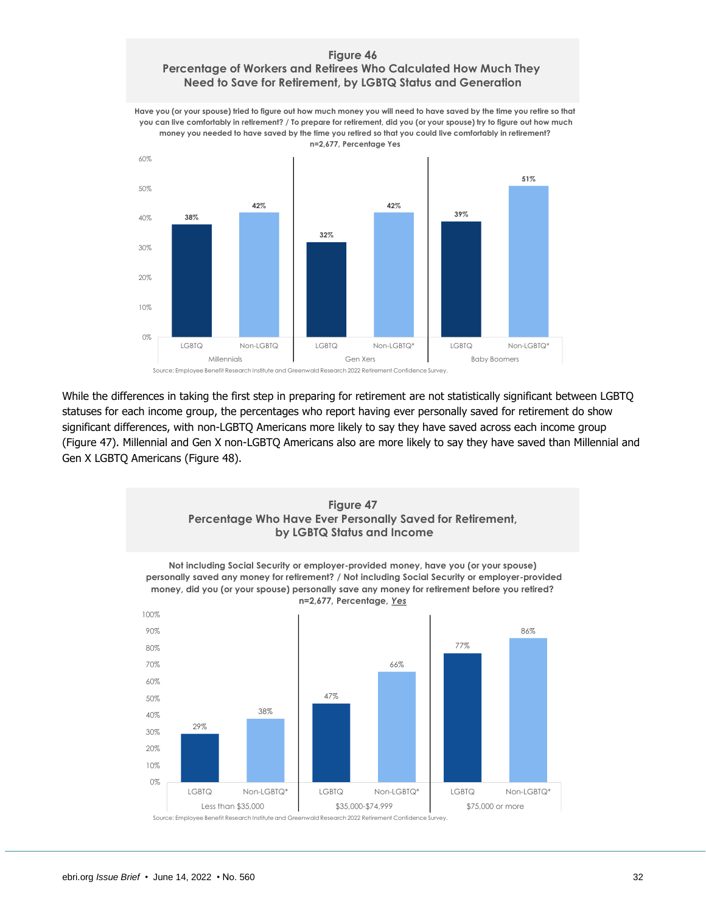### **Figure 46 Percentage of Workers and Retirees Who Calculated How Much They Need to Save for Retirement, by LGBTQ Status and Generation**

**Have you (or your spouse) tried to figure out how much money you will need to have saved by the time you retire so that you can live comfortably in retirement? / To prepare for retirement, did you (or your spouse) try to figure out how much money you needed to have saved by the time you retired so that you could live comfortably in retirement? n=2,677, Percentage Yes**



While the differences in taking the first step in preparing for retirement are not statistically significant between LGBTQ statuses for each income group, the percentages who report having ever personally saved for retirement do show significant differences, with non-LGBTQ Americans more likely to say they have saved across each income group (Figure 47). Millennial and Gen X non-LGBTQ Americans also are more likely to say they have saved than Millennial and Gen X LGBTQ Americans (Figure 48).

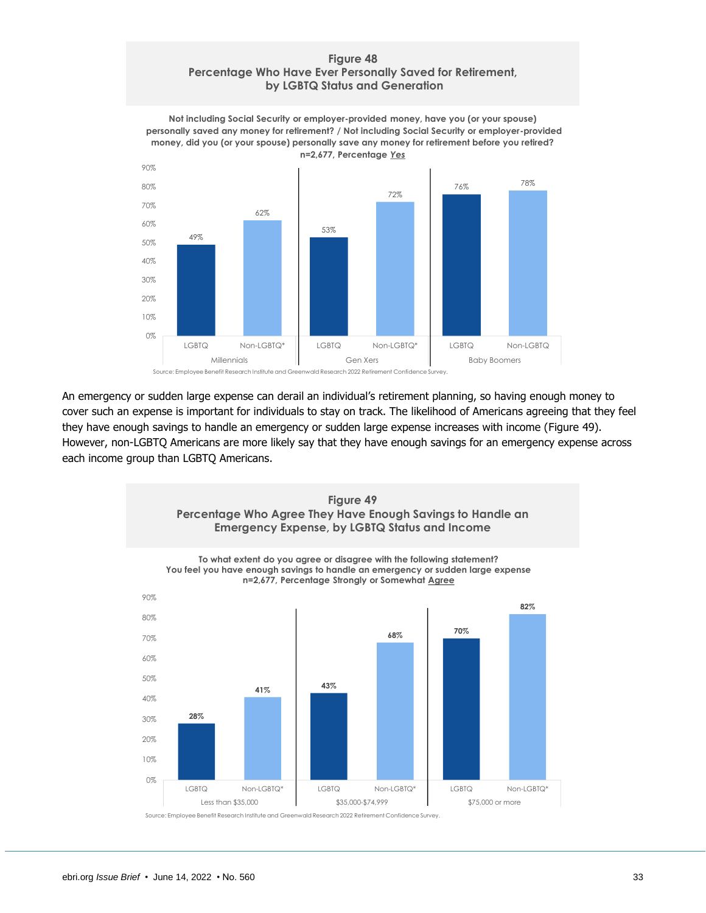### **Figure 48 Percentage Who Have Ever Personally Saved for Retirement, by LGBTQ Status and Generation**

**Not including Social Security or employer-provided money, have you (or your spouse) personally saved any money for retirement? / Not including Social Security or employer-provided money, did you (or your spouse) personally save any money for retirement before you retired? n=2,677, Percentage** *Yes*



An emergency or sudden large expense can derail an individual's retirement planning, so having enough money to cover such an expense is important for individuals to stay on track. The likelihood of Americans agreeing that they feel they have enough savings to handle an emergency or sudden large expense increases with income (Figure 49). However, non-LGBTQ Americans are more likely say that they have enough savings for an emergency expense across each income group than LGBTQ Americans.

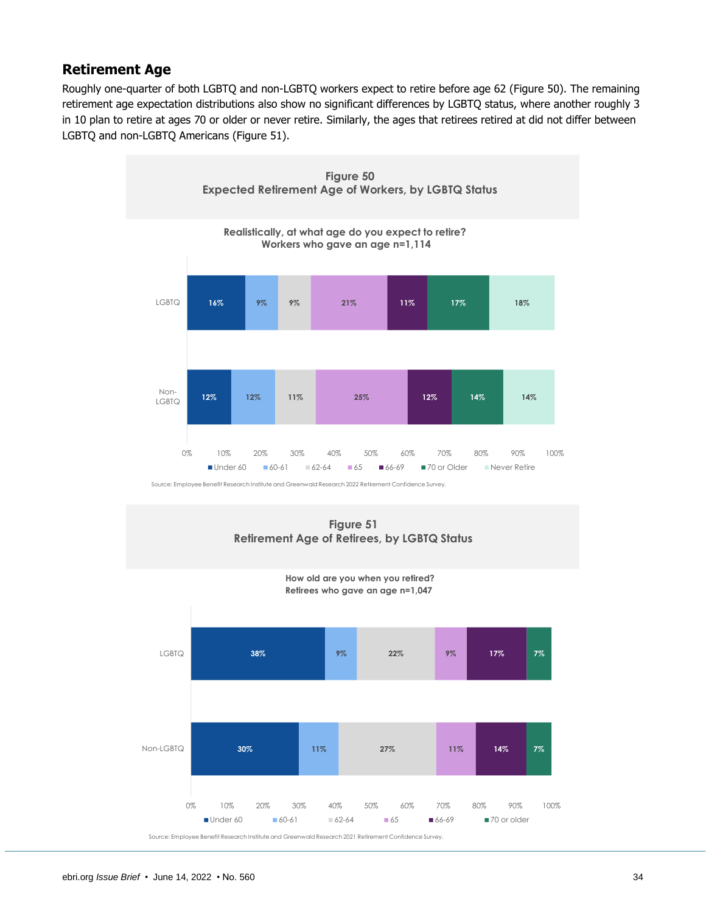# <span id="page-33-0"></span>**Retirement Age**

Roughly one-quarter of both LGBTQ and non-LGBTQ workers expect to retire before age 62 (Figure 50). The remaining retirement age expectation distributions also show no significant differences by LGBTQ status, where another roughly 3 in 10 plan to retire at ages 70 or older or never retire. Similarly, the ages that retirees retired at did not differ between LGBTQ and non-LGBTQ Americans (Figure 51).



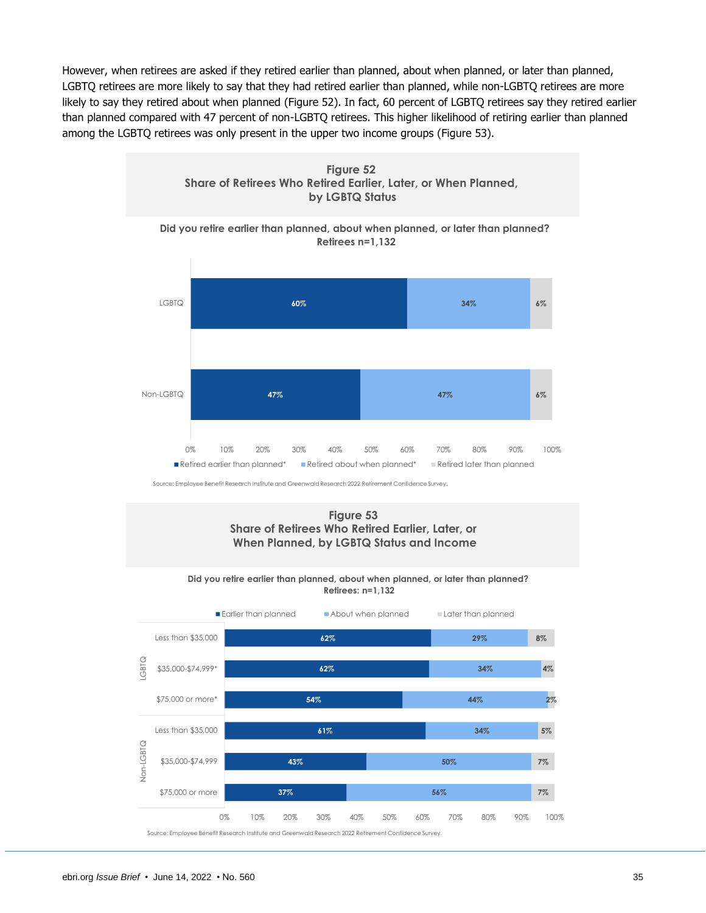However, when retirees are asked if they retired earlier than planned, about when planned, or later than planned, LGBTQ retirees are more likely to say that they had retired earlier than planned, while non-LGBTQ retirees are more likely to say they retired about when planned (Figure 52). In fact, 60 percent of LGBTQ retirees say they retired earlier than planned compared with 47 percent of non-LGBTQ retirees. This higher likelihood of retiring earlier than planned among the LGBTQ retirees was only present in the upper two income groups (Figure 53).

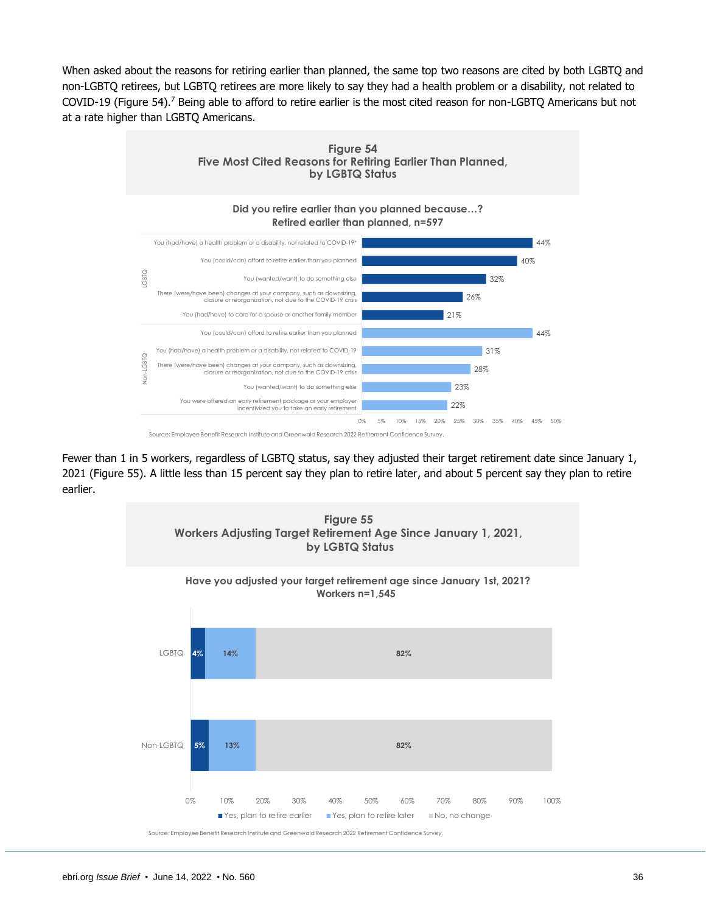When asked about the reasons for retiring earlier than planned, the same top two reasons are cited by both LGBTQ and non-LGBTQ retirees, but LGBTQ retirees are more likely to say they had a health problem or a disability, not related to COVID-19 (Figure 54).<sup>7</sup> Being able to afford to retire earlier is the most cited reason for non-LGBTQ Americans but not at a rate higher than LGBTQ Americans.



Fewer than 1 in 5 workers, regardless of LGBTQ status, say they adjusted their target retirement date since January 1, 2021 (Figure 55). A little less than 15 percent say they plan to retire later, and about 5 percent say they plan to retire earlier.

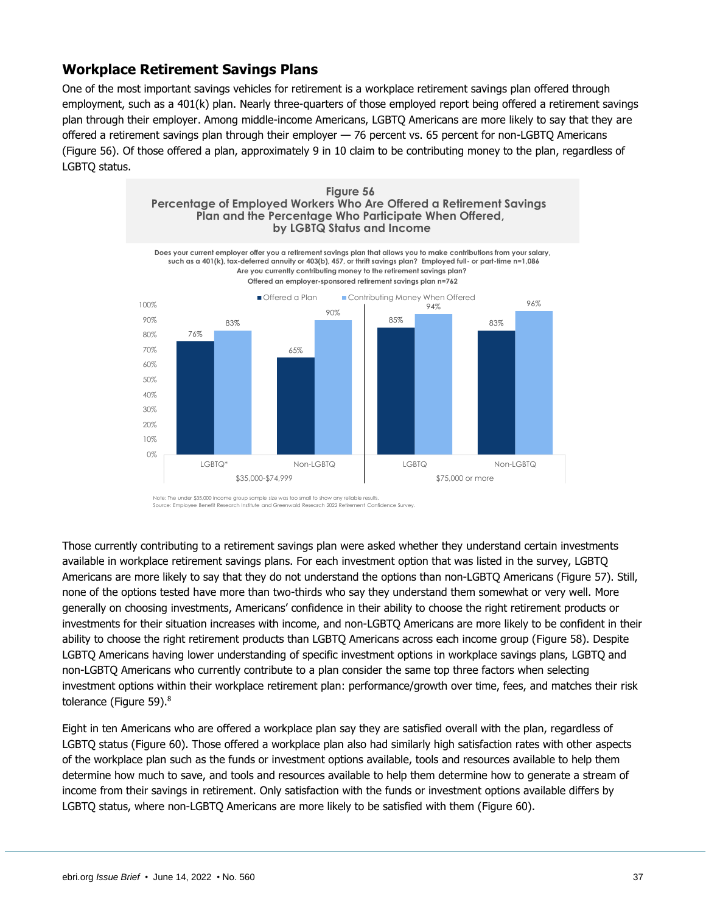# <span id="page-36-0"></span>**Workplace Retirement Savings Plans**

One of the most important savings vehicles for retirement is a workplace retirement savings plan offered through employment, such as a 401(k) plan. Nearly three-quarters of those employed report being offered a retirement savings plan through their employer. Among middle-income Americans, LGBTQ Americans are more likely to say that they are offered a retirement savings plan through their employer — 76 percent vs. 65 percent for non-LGBTQ Americans (Figure 56). Of those offered a plan, approximately 9 in 10 claim to be contributing money to the plan, regardless of LGBTQ status.



Source: Employee Benefit Research Institute and Greenwald Research 2022 Retirement Confidence Survey.

Those currently contributing to a retirement savings plan were asked whether they understand certain investments available in workplace retirement savings plans. For each investment option that was listed in the survey, LGBTQ Americans are more likely to say that they do not understand the options than non-LGBTQ Americans (Figure 57). Still, none of the options tested have more than two-thirds who say they understand them somewhat or very well. More generally on choosing investments, Americans' confidence in their ability to choose the right retirement products or investments for their situation increases with income, and non-LGBTQ Americans are more likely to be confident in their ability to choose the right retirement products than LGBTQ Americans across each income group (Figure 58). Despite LGBTQ Americans having lower understanding of specific investment options in workplace savings plans, LGBTQ and non-LGBTQ Americans who currently contribute to a plan consider the same top three factors when selecting investment options within their workplace retirement plan: performance/growth over time, fees, and matches their risk tolerance (Figure 59).<sup>8</sup>

Eight in ten Americans who are offered a workplace plan say they are satisfied overall with the plan, regardless of LGBTQ status (Figure 60). Those offered a workplace plan also had similarly high satisfaction rates with other aspects of the workplace plan such as the funds or investment options available, tools and resources available to help them determine how much to save, and tools and resources available to help them determine how to generate a stream of income from their savings in retirement. Only satisfaction with the funds or investment options available differs by LGBTQ status, where non-LGBTQ Americans are more likely to be satisfied with them (Figure 60).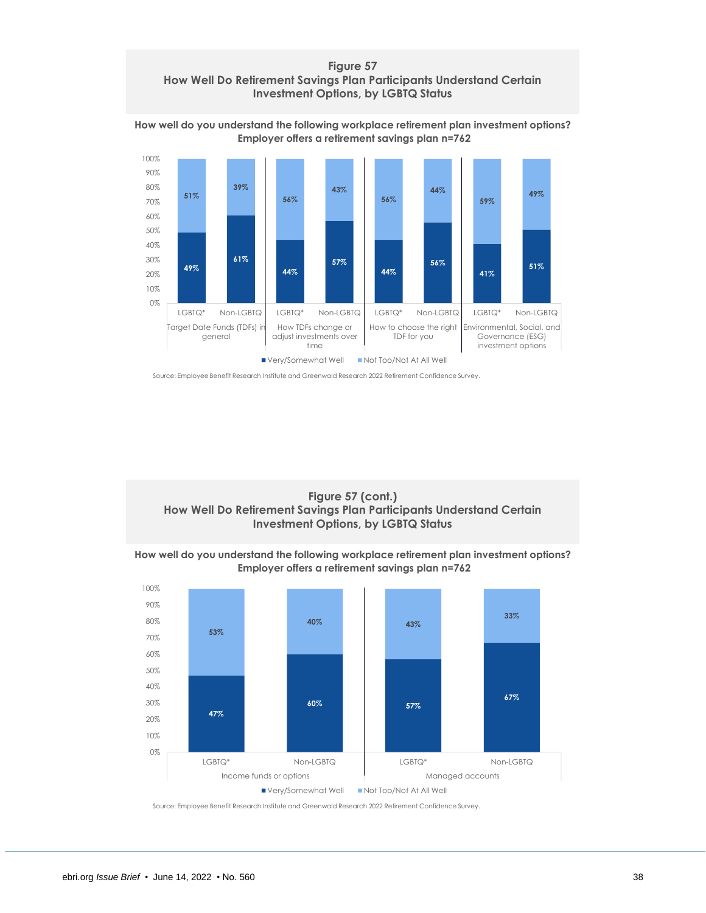### **Figure 57 How Well Do Retirement Savings Plan Participants Understand Certain Investment Options, by LGBTQ Status**



**How well do you understand the following workplace retirement plan investment options? Employer offers a retirement savings plan n=762**

Source: Employee Benefit Research Institute and Greenwald Research 2022 Retirement Confidence Survey.



**How well do you understand the following workplace retirement plan investment options? Employer offers a retirement savings plan n=762**

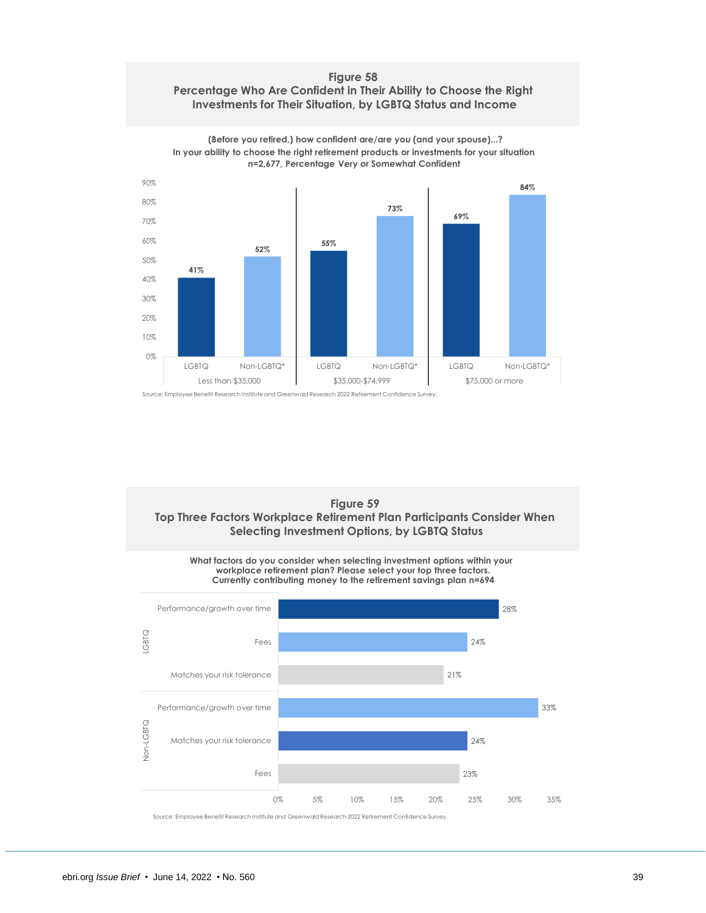### **Figure 58 Percentage Who Are Confident in Their Ability to Choose the Right Investments for Their Situation, by LGBTQ Status and Income**



**(Before you retired,) how confident are/are you (and your spouse)...? In your ability to choose the right retirement products or investments for your situation n=2,677, Percentage Very or Somewhat Confident**

### **Figure 59 Top Three Factors Workplace Retirement Plan Participants Consider When Selecting Investment Options, by LGBTQ Status**

**What factors do you consider when selecting investment options within your workplace retirement plan? Please select your top three factors. Currently contributing money to the retirement savings plan n=694**

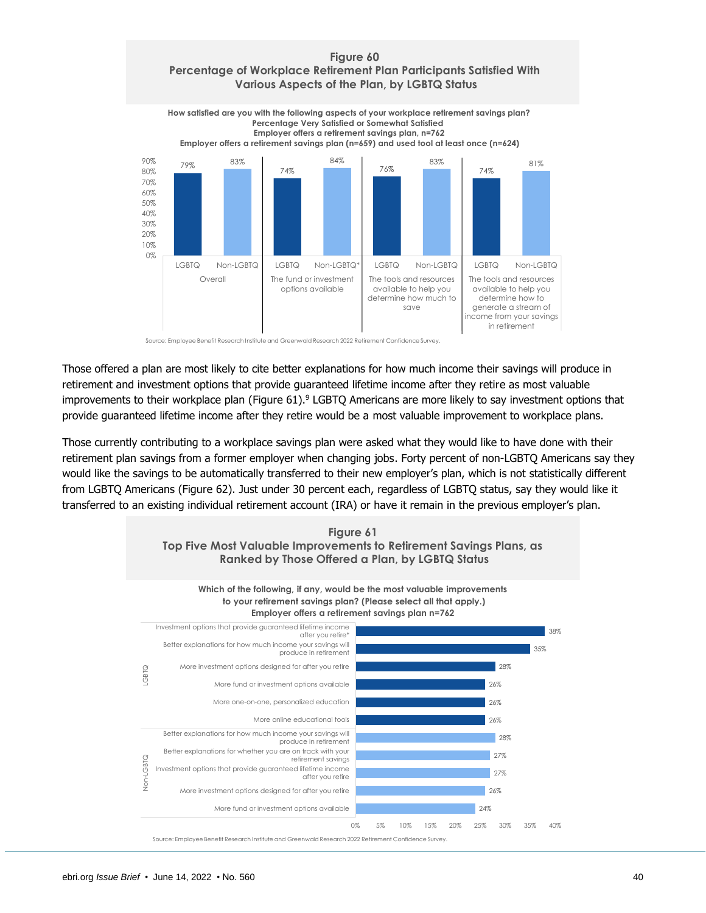

Source: Employee Benefit Research Institute and Greenwald Research 2022 Retirement Confidence Survey.

Those offered a plan are most likely to cite better explanations for how much income their savings will produce in retirement and investment options that provide guaranteed lifetime income after they retire as most valuable improvements to their workplace plan (Figure 61).<sup>9</sup> LGBTQ Americans are more likely to say investment options that provide guaranteed lifetime income after they retire would be a most valuable improvement to workplace plans.

Those currently contributing to a workplace savings plan were asked what they would like to have done with their retirement plan savings from a former employer when changing jobs. Forty percent of non-LGBTQ Americans say they would like the savings to be automatically transferred to their new employer's plan, which is not statistically different from LGBTQ Americans (Figure 62). Just under 30 percent each, regardless of LGBTQ status, say they would like it transferred to an existing individual retirement account (IRA) or have it remain in the previous employer's plan.

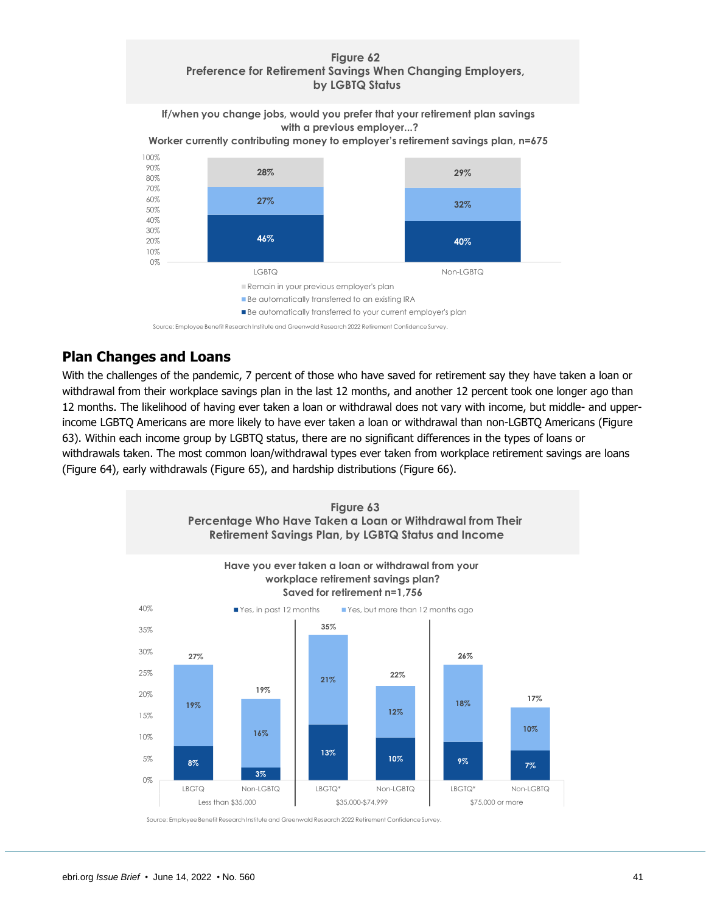### **Figure 62 Preference for Retirement Savings When Changing Employers, by LGBTQ Status**

**If/when you change jobs, would you prefer that your retirement plan savings with a previous employer...?**

**Worker currently contributing money to employer's retirement savings plan, n=675**



Source: Employee Benefit Research Institute and Greenwald Research 2022 Retirement Confidence Survey.

# <span id="page-40-0"></span>**Plan Changes and Loans**

With the challenges of the pandemic, 7 percent of those who have saved for retirement say they have taken a loan or withdrawal from their workplace savings plan in the last 12 months, and another 12 percent took one longer ago than 12 months. The likelihood of having ever taken a loan or withdrawal does not vary with income, but middle- and upperincome LGBTQ Americans are more likely to have ever taken a loan or withdrawal than non-LGBTQ Americans (Figure 63). Within each income group by LGBTQ status, there are no significant differences in the types of loans or withdrawals taken. The most common loan/withdrawal types ever taken from workplace retirement savings are loans (Figure 64), early withdrawals (Figure 65), and hardship distributions (Figure 66).

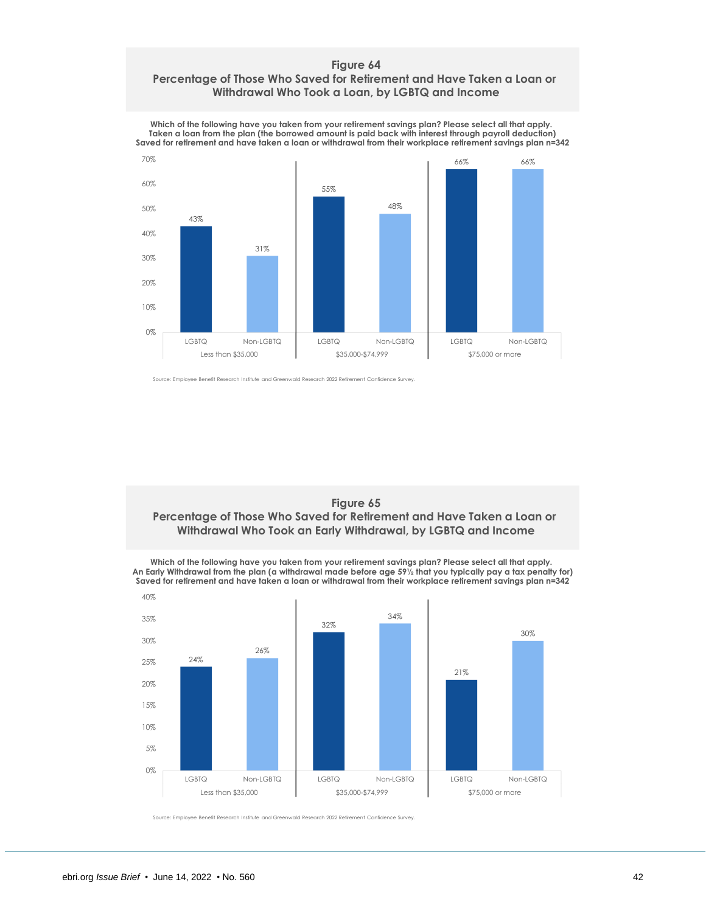### **Figure 64 Percentage of Those Who Saved for Retirement and Have Taken a Loan or Withdrawal Who Took a Loan, by LGBTQ and Income**



**Which of the following have you taken from your retirement savings plan? Please select all that apply. Taken a loan from the plan (the borrowed amount is paid back with interest through payroll deduction)**

Source: Employee Benefit Research Institute and Greenwald Research 2022 Retirement Confidence Survey.



**Which of the following have you taken from your retirement savings plan? Please select all that apply. An Early Withdrawal from the plan (a withdrawal made before age 59½ that you typically pay a tax penalty for) Saved for retirement and have taken a loan or withdrawal from their workplace retirement savings plan n=342**

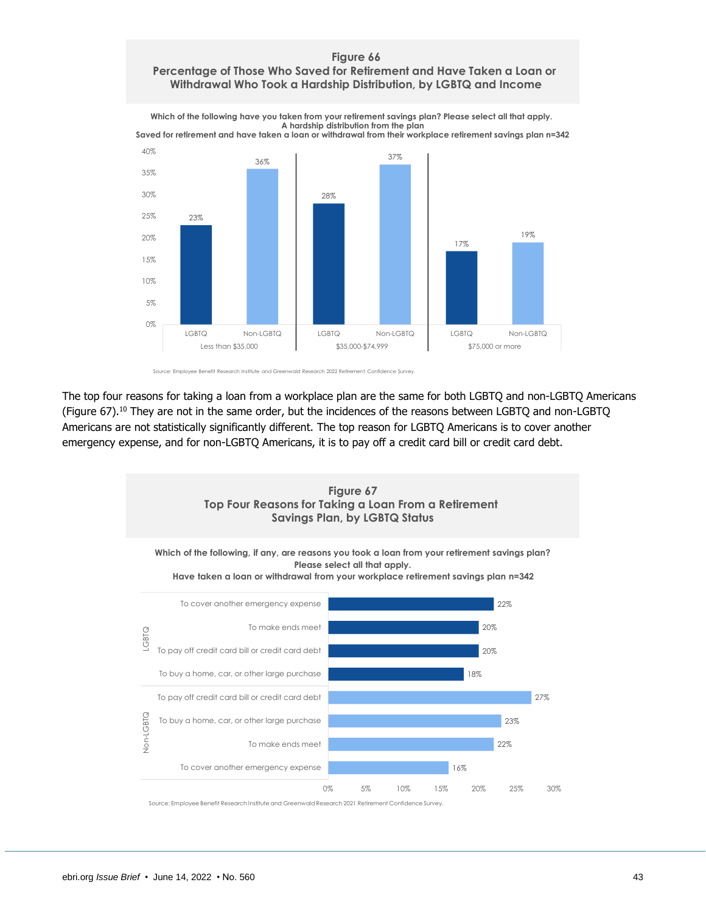### **Figure 66 Percentage of Those Who Saved for Retirement and Have Taken a Loan or Withdrawal Who Took a Hardship Distribution, by LGBTQ and Income**

**Which of the following have you taken from your retirement savings plan? Please select all that apply. A hardship distribution from the plan Saved for retirement and have taken a loan or withdrawal from their workplace retirement savings plan n=342**





The top four reasons for taking a loan from a workplace plan are the same for both LGBTQ and non-LGBTQ Americans (Figure 67).<sup>10</sup> They are not in the same order, but the incidences of the reasons between LGBTQ and non-LGBTQ Americans are not statistically significantly different. The top reason for LGBTQ Americans is to cover another emergency expense, and for non-LGBTQ Americans, it is to pay off a credit card bill or credit card debt.

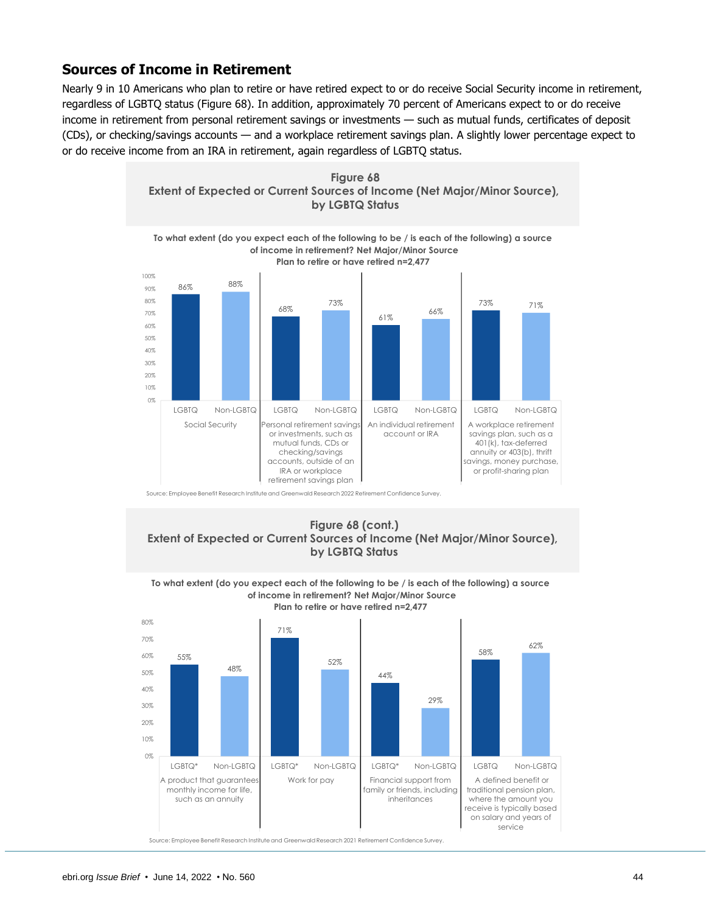# <span id="page-43-0"></span>**Sources of Income in Retirement**

Nearly 9 in 10 Americans who plan to retire or have retired expect to or do receive Social Security income in retirement, regardless of LGBTQ status (Figure 68). In addition, approximately 70 percent of Americans expect to or do receive income in retirement from personal retirement savings or investments — such as mutual funds, certificates of deposit (CDs), or checking/savings accounts — and a workplace retirement savings plan. A slightly lower percentage expect to or do receive income from an IRA in retirement, again regardless of LGBTQ status.



Source: Employee Benefit Research Institute and Greenwald Research 2022 Retirement Confidence Survey.







ebri.org *Issue Brief* • June 14, 2022 • No. 560 44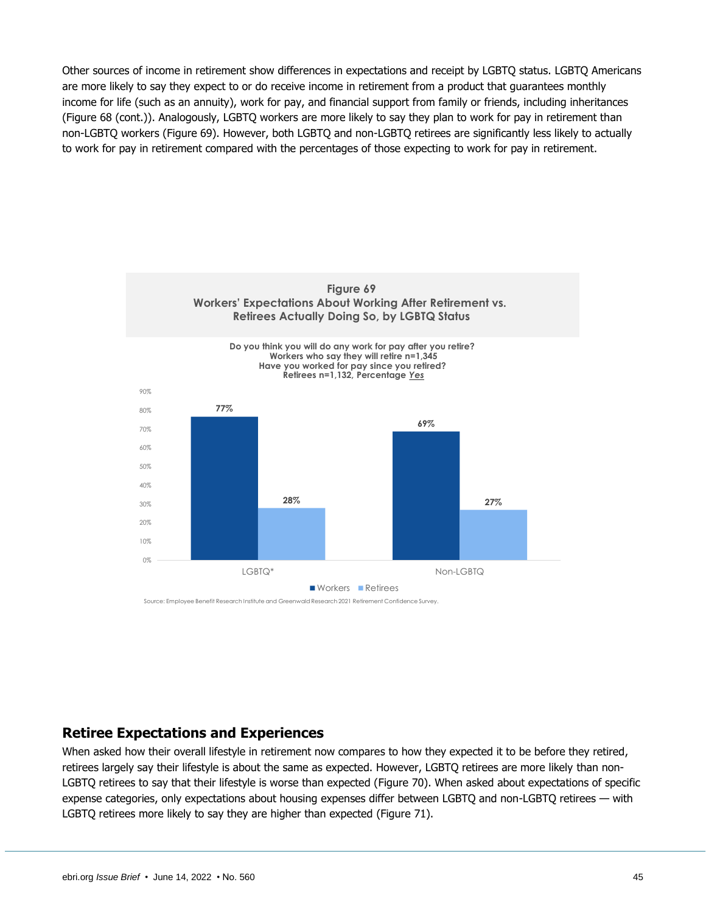Other sources of income in retirement show differences in expectations and receipt by LGBTQ status. LGBTQ Americans are more likely to say they expect to or do receive income in retirement from a product that guarantees monthly income for life (such as an annuity), work for pay, and financial support from family or friends, including inheritances (Figure 68 (cont.)). Analogously, LGBTQ workers are more likely to say they plan to work for pay in retirement than non-LGBTQ workers (Figure 69). However, both LGBTQ and non-LGBTQ retirees are significantly less likely to actually to work for pay in retirement compared with the percentages of those expecting to work for pay in retirement.



Source: Employee Benefit Research Institute and Greenwald Research 2021 Retirement Confidence Survey.

### <span id="page-44-0"></span>**Retiree Expectations and Experiences**

When asked how their overall lifestyle in retirement now compares to how they expected it to be before they retired, retirees largely say their lifestyle is about the same as expected. However, LGBTQ retirees are more likely than non-LGBTQ retirees to say that their lifestyle is worse than expected (Figure 70). When asked about expectations of specific expense categories, only expectations about housing expenses differ between LGBTQ and non-LGBTQ retirees — with LGBTQ retirees more likely to say they are higher than expected (Figure 71).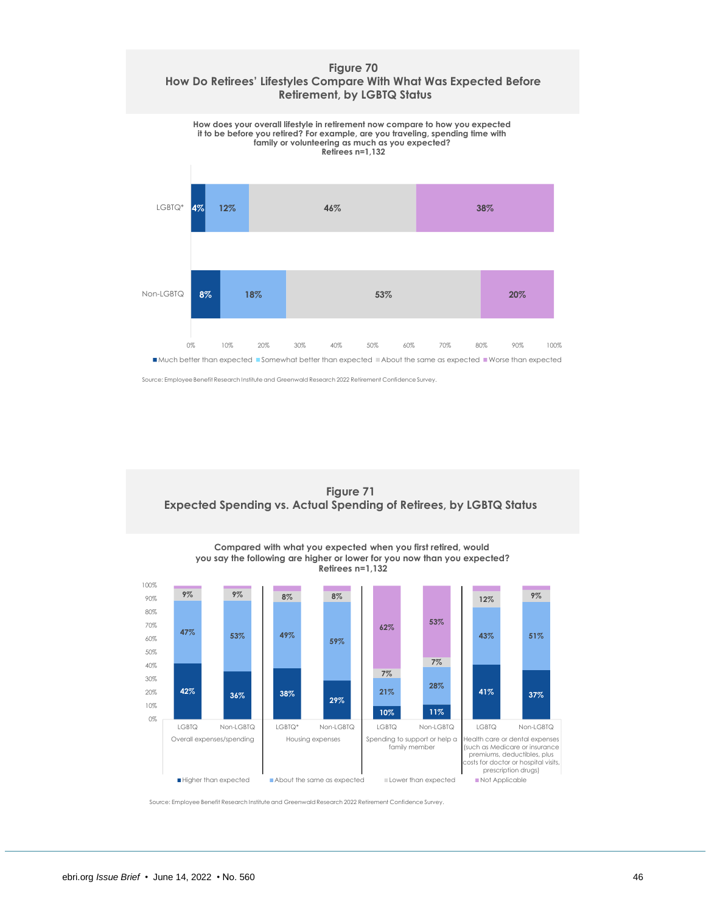### **Figure 70 How Do Retirees' Lifestyles Compare With What Was Expected Before Retirement, by LGBTQ Status**



Source: Employee Benefit Research Institute and Greenwald Research 2022 Retirement Confidence Survey.

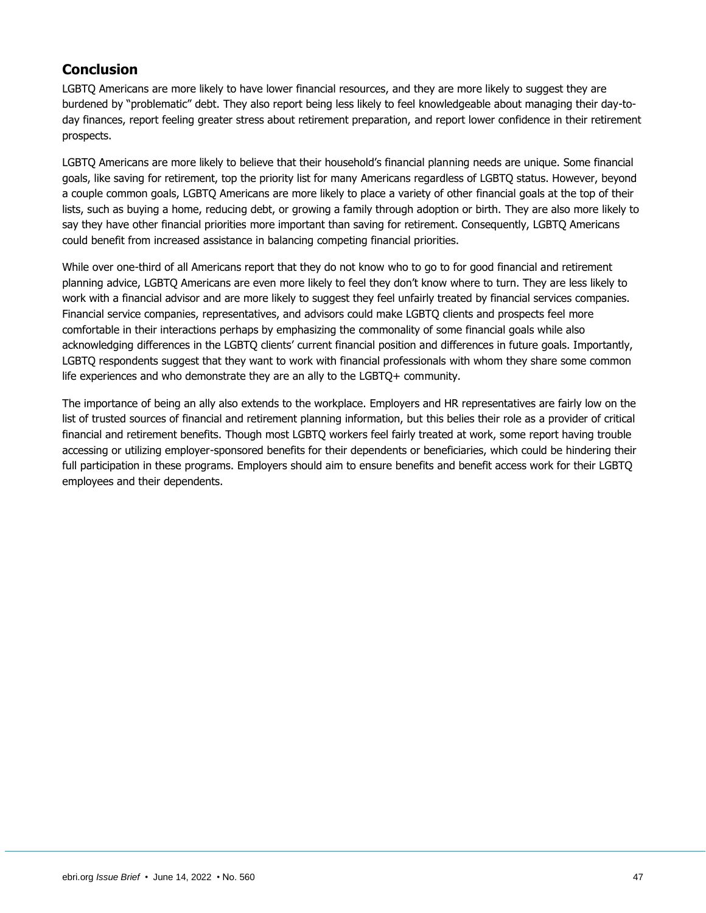# <span id="page-46-0"></span>**Conclusion**

LGBTQ Americans are more likely to have lower financial resources, and they are more likely to suggest they are burdened by "problematic" debt. They also report being less likely to feel knowledgeable about managing their day-today finances, report feeling greater stress about retirement preparation, and report lower confidence in their retirement prospects.

LGBTQ Americans are more likely to believe that their household's financial planning needs are unique. Some financial goals, like saving for retirement, top the priority list for many Americans regardless of LGBTQ status. However, beyond a couple common goals, LGBTQ Americans are more likely to place a variety of other financial goals at the top of their lists, such as buying a home, reducing debt, or growing a family through adoption or birth. They are also more likely to say they have other financial priorities more important than saving for retirement. Consequently, LGBTQ Americans could benefit from increased assistance in balancing competing financial priorities.

While over one-third of all Americans report that they do not know who to go to for good financial and retirement planning advice, LGBTQ Americans are even more likely to feel they don't know where to turn. They are less likely to work with a financial advisor and are more likely to suggest they feel unfairly treated by financial services companies. Financial service companies, representatives, and advisors could make LGBTQ clients and prospects feel more comfortable in their interactions perhaps by emphasizing the commonality of some financial goals while also acknowledging differences in the LGBTQ clients' current financial position and differences in future goals. Importantly, LGBTQ respondents suggest that they want to work with financial professionals with whom they share some common life experiences and who demonstrate they are an ally to the LGBTQ+ community.

The importance of being an ally also extends to the workplace. Employers and HR representatives are fairly low on the list of trusted sources of financial and retirement planning information, but this belies their role as a provider of critical financial and retirement benefits. Though most LGBTQ workers feel fairly treated at work, some report having trouble accessing or utilizing employer-sponsored benefits for their dependents or beneficiaries, which could be hindering their full participation in these programs. Employers should aim to ensure benefits and benefit access work for their LGBTQ employees and their dependents.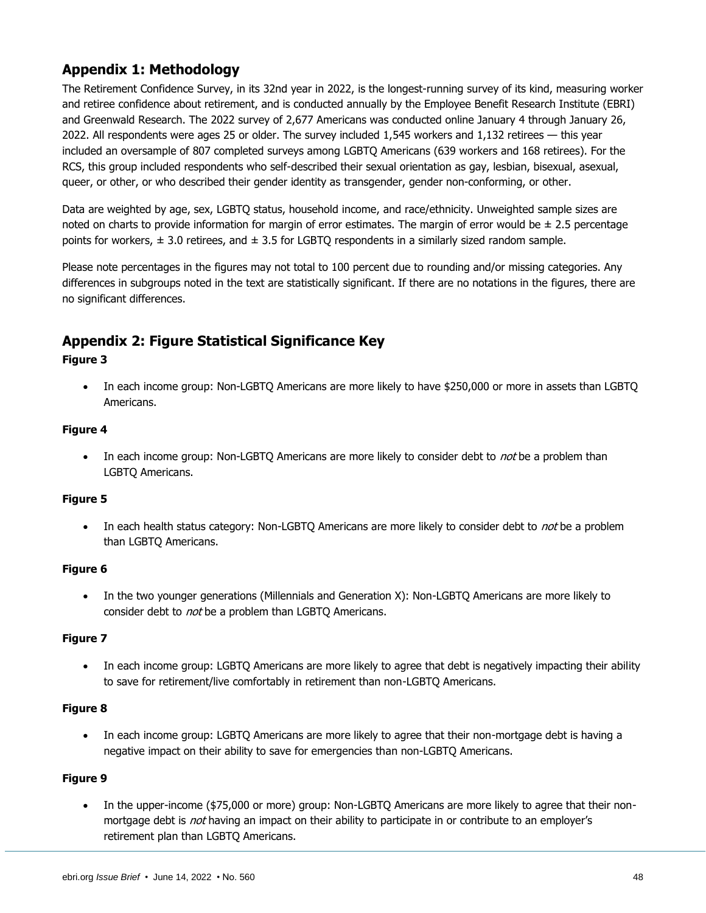# <span id="page-47-0"></span>**Appendix 1: Methodology**

The Retirement Confidence Survey, in its 32nd year in 2022, is the longest-running survey of its kind, measuring worker and retiree confidence about retirement, and is conducted annually by the Employee Benefit Research Institute (EBRI) and Greenwald Research. The 2022 survey of 2,677 Americans was conducted online January 4 through January 26, 2022. All respondents were ages 25 or older. The survey included 1,545 workers and 1,132 retirees — this year included an oversample of 807 completed surveys among LGBTQ Americans (639 workers and 168 retirees). For the RCS, this group included respondents who self-described their sexual orientation as gay, lesbian, bisexual, asexual, queer, or other, or who described their gender identity as transgender, gender non-conforming, or other.

Data are weighted by age, sex, LGBTQ status, household income, and race/ethnicity. Unweighted sample sizes are noted on charts to provide information for margin of error estimates. The margin of error would be  $\pm$  2.5 percentage points for workers,  $\pm$  3.0 retirees, and  $\pm$  3.5 for LGBTQ respondents in a similarly sized random sample.

Please note percentages in the figures may not total to 100 percent due to rounding and/or missing categories. Any differences in subgroups noted in the text are statistically significant. If there are no notations in the figures, there are no significant differences.

# <span id="page-47-1"></span>**Appendix 2: Figure Statistical Significance Key**

### **Figure 3**

• In each income group: Non-LGBTQ Americans are more likely to have \$250,000 or more in assets than LGBTQ Americans.

### **Figure 4**

• In each income group: Non-LGBTQ Americans are more likely to consider debt to not be a problem than LGBTQ Americans.

### **Figure 5**

In each health status category: Non-LGBTQ Americans are more likely to consider debt to not be a problem than LGBTQ Americans.

### **Figure 6**

• In the two younger generations (Millennials and Generation X): Non-LGBTQ Americans are more likely to consider debt to *not* be a problem than LGBTQ Americans.

### **Figure 7**

In each income group: LGBTQ Americans are more likely to agree that debt is negatively impacting their ability to save for retirement/live comfortably in retirement than non-LGBTQ Americans.

### **Figure 8**

• In each income group: LGBTQ Americans are more likely to agree that their non-mortgage debt is having a negative impact on their ability to save for emergencies than non-LGBTQ Americans.

### **Figure 9**

• In the upper-income (\$75,000 or more) group: Non-LGBTQ Americans are more likely to agree that their nonmortgage debt is *not* having an impact on their ability to participate in or contribute to an employer's retirement plan than LGBTQ Americans.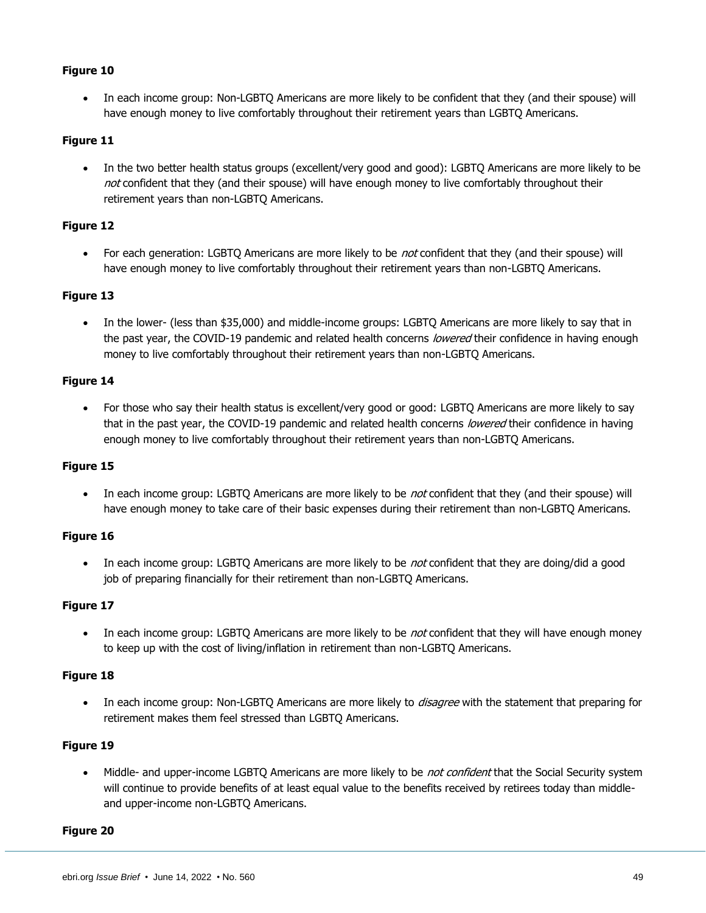• In each income group: Non-LGBTQ Americans are more likely to be confident that they (and their spouse) will have enough money to live comfortably throughout their retirement years than LGBTQ Americans.

### **Figure 11**

• In the two better health status groups (excellent/very good and good): LGBTQ Americans are more likely to be not confident that they (and their spouse) will have enough money to live comfortably throughout their retirement years than non-LGBTQ Americans.

### **Figure 12**

For each generation: LGBTQ Americans are more likely to be not confident that they (and their spouse) will have enough money to live comfortably throughout their retirement years than non-LGBTQ Americans.

### **Figure 13**

• In the lower- (less than \$35,000) and middle-income groups: LGBTQ Americans are more likely to say that in the past year, the COVID-19 pandemic and related health concerns lowered their confidence in having enough money to live comfortably throughout their retirement years than non-LGBTQ Americans.

### **Figure 14**

• For those who say their health status is excellent/very good or good: LGBTQ Americans are more likely to say that in the past year, the COVID-19 pandemic and related health concerns lowered their confidence in having enough money to live comfortably throughout their retirement years than non-LGBTQ Americans.

### **Figure 15**

In each income group: LGBTQ Americans are more likely to be not confident that they (and their spouse) will have enough money to take care of their basic expenses during their retirement than non-LGBTQ Americans.

### **Figure 16**

In each income group: LGBTQ Americans are more likely to be not confident that they are doing/did a good job of preparing financially for their retirement than non-LGBTQ Americans.

### **Figure 17**

In each income group: LGBTQ Americans are more likely to be not confident that they will have enough money to keep up with the cost of living/inflation in retirement than non-LGBTQ Americans.

### **Figure 18**

In each income group: Non-LGBTQ Americans are more likely to *disagree* with the statement that preparing for retirement makes them feel stressed than LGBTQ Americans.

### **Figure 19**

Middle- and upper-income LGBTQ Americans are more likely to be not confident that the Social Security system will continue to provide benefits of at least equal value to the benefits received by retirees today than middleand upper-income non-LGBTQ Americans.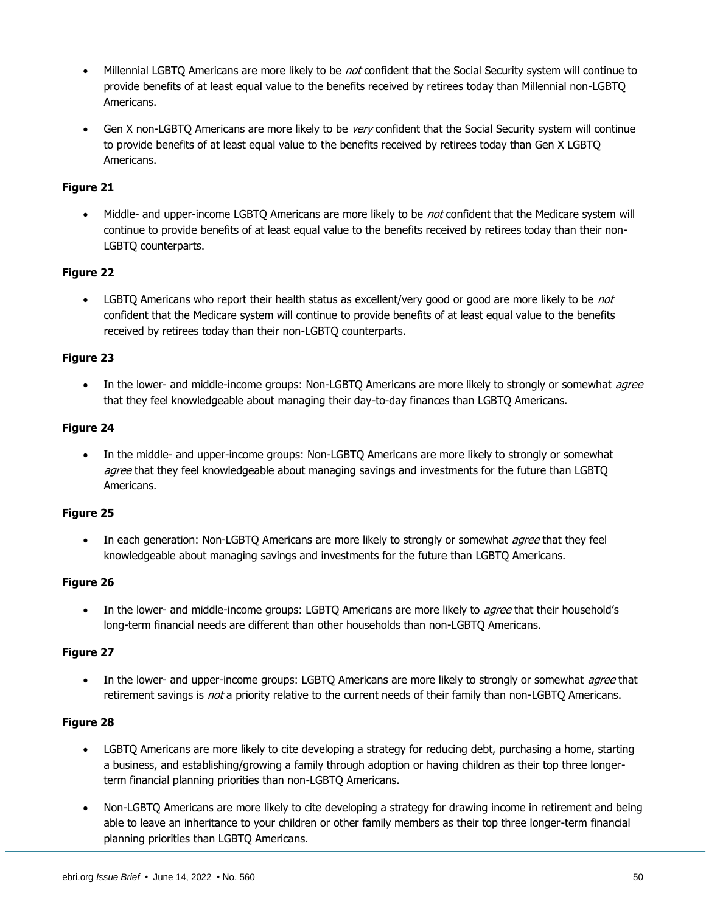- Millennial LGBTQ Americans are more likely to be not confident that the Social Security system will continue to provide benefits of at least equal value to the benefits received by retirees today than Millennial non-LGBTQ Americans.
- Gen X non-LGBTQ Americans are more likely to be very confident that the Social Security system will continue to provide benefits of at least equal value to the benefits received by retirees today than Gen X LGBTQ Americans.

Middle- and upper-income LGBTQ Americans are more likely to be not confident that the Medicare system will continue to provide benefits of at least equal value to the benefits received by retirees today than their non-LGBTQ counterparts.

### **Figure 22**

• LGBTQ Americans who report their health status as excellent/very good or good are more likely to be *not* confident that the Medicare system will continue to provide benefits of at least equal value to the benefits received by retirees today than their non-LGBTQ counterparts.

### **Figure 23**

• In the lower- and middle-income groups: Non-LGBTQ Americans are more likely to strongly or somewhat *agree* that they feel knowledgeable about managing their day-to-day finances than LGBTQ Americans.

### **Figure 24**

• In the middle- and upper-income groups: Non-LGBTQ Americans are more likely to strongly or somewhat *agree* that they feel knowledgeable about managing savings and investments for the future than LGBTQ Americans.

### **Figure 25**

In each generation: Non-LGBTQ Americans are more likely to strongly or somewhat *agree* that they feel knowledgeable about managing savings and investments for the future than LGBTQ Americans.

### **Figure 26**

In the lower- and middle-income groups: LGBTQ Americans are more likely to *agree* that their household's long-term financial needs are different than other households than non-LGBTQ Americans.

### **Figure 27**

In the lower- and upper-income groups: LGBTQ Americans are more likely to strongly or somewhat *agree* that retirement savings is *not* a priority relative to the current needs of their family than non-LGBTQ Americans.

- LGBTQ Americans are more likely to cite developing a strategy for reducing debt, purchasing a home, starting a business, and establishing/growing a family through adoption or having children as their top three longerterm financial planning priorities than non-LGBTQ Americans.
- Non-LGBTQ Americans are more likely to cite developing a strategy for drawing income in retirement and being able to leave an inheritance to your children or other family members as their top three longer-term financial planning priorities than LGBTQ Americans.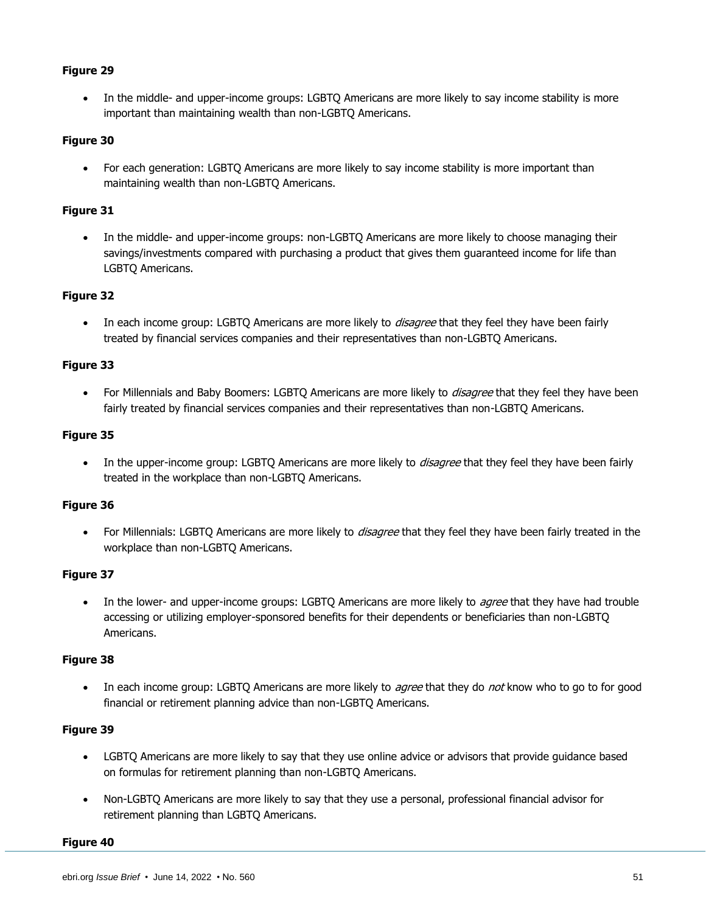• In the middle- and upper-income groups: LGBTQ Americans are more likely to say income stability is more important than maintaining wealth than non-LGBTQ Americans.

### **Figure 30**

• For each generation: LGBTQ Americans are more likely to say income stability is more important than maintaining wealth than non-LGBTQ Americans.

### **Figure 31**

• In the middle- and upper-income groups: non-LGBTQ Americans are more likely to choose managing their savings/investments compared with purchasing a product that gives them guaranteed income for life than LGBTQ Americans.

### **Figure 32**

In each income group: LGBTQ Americans are more likely to *disagree* that they feel they have been fairly treated by financial services companies and their representatives than non-LGBTQ Americans.

### **Figure 33**

For Millennials and Baby Boomers: LGBTQ Americans are more likely to *disagree* that they feel they have been fairly treated by financial services companies and their representatives than non-LGBTQ Americans.

### **Figure 35**

In the upper-income group: LGBTO Americans are more likely to *disagree* that they feel they have been fairly treated in the workplace than non-LGBTQ Americans.

### **Figure 36**

For Millennials: LGBTQ Americans are more likely to *disagree* that they feel they have been fairly treated in the workplace than non-LGBTQ Americans.

### **Figure 37**

• In the lower- and upper-income groups: LGBTQ Americans are more likely to *agree* that they have had trouble accessing or utilizing employer-sponsored benefits for their dependents or beneficiaries than non-LGBTQ Americans.

### **Figure 38**

In each income group: LGBTO Americans are more likely to *agree* that they do *not* know who to go to for good financial or retirement planning advice than non-LGBTQ Americans.

### **Figure 39**

- LGBTQ Americans are more likely to say that they use online advice or advisors that provide guidance based on formulas for retirement planning than non-LGBTQ Americans.
- Non-LGBTQ Americans are more likely to say that they use a personal, professional financial advisor for retirement planning than LGBTQ Americans.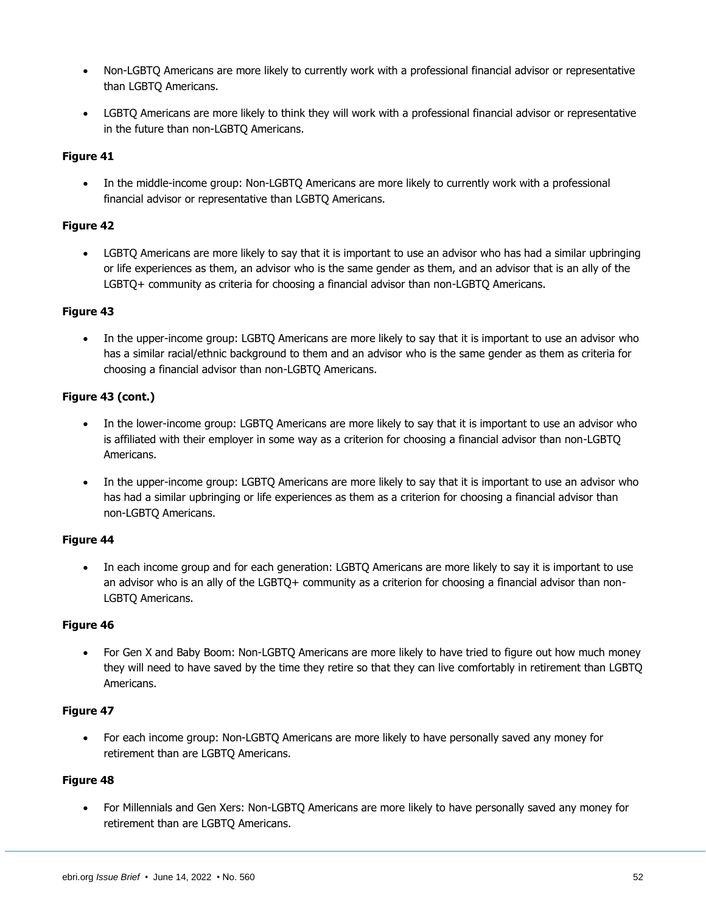- Non-LGBTQ Americans are more likely to currently work with a professional financial advisor or representative than LGBTQ Americans.
- LGBTQ Americans are more likely to think they will work with a professional financial advisor or representative in the future than non-LGBTQ Americans.

• In the middle-income group: Non-LGBTQ Americans are more likely to currently work with a professional financial advisor or representative than LGBTQ Americans.

### **Figure 42**

• LGBTQ Americans are more likely to say that it is important to use an advisor who has had a similar upbringing or life experiences as them, an advisor who is the same gender as them, and an advisor that is an ally of the LGBTQ+ community as criteria for choosing a financial advisor than non-LGBTQ Americans.

### **Figure 43**

In the upper-income group: LGBTQ Americans are more likely to say that it is important to use an advisor who has a similar racial/ethnic background to them and an advisor who is the same gender as them as criteria for choosing a financial advisor than non-LGBTQ Americans.

### **Figure 43 (cont.)**

- In the lower-income group: LGBTQ Americans are more likely to say that it is important to use an advisor who is affiliated with their employer in some way as a criterion for choosing a financial advisor than non-LGBTQ Americans.
- In the upper-income group: LGBTQ Americans are more likely to say that it is important to use an advisor who has had a similar upbringing or life experiences as them as a criterion for choosing a financial advisor than non-LGBTQ Americans.

### **Figure 44**

In each income group and for each generation: LGBTQ Americans are more likely to say it is important to use an advisor who is an ally of the LGBTQ+ community as a criterion for choosing a financial advisor than non-LGBTQ Americans.

### **Figure 46**

• For Gen X and Baby Boom: Non-LGBTQ Americans are more likely to have tried to figure out how much money they will need to have saved by the time they retire so that they can live comfortably in retirement than LGBTQ Americans.

### **Figure 47**

• For each income group: Non-LGBTQ Americans are more likely to have personally saved any money for retirement than are LGBTQ Americans.

### **Figure 48**

• For Millennials and Gen Xers: Non-LGBTQ Americans are more likely to have personally saved any money for retirement than are LGBTQ Americans.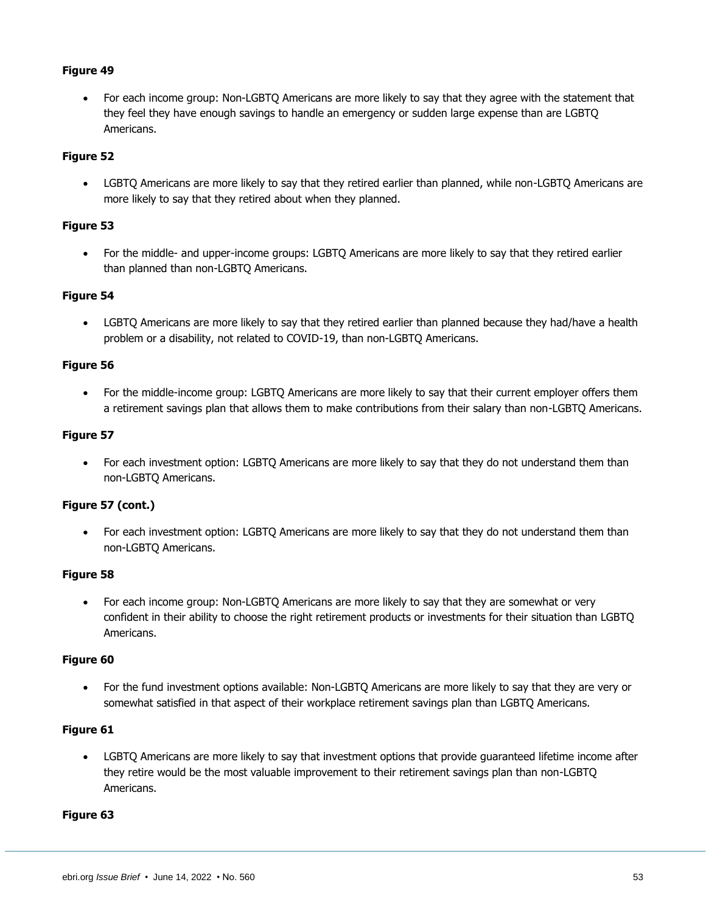• For each income group: Non-LGBTQ Americans are more likely to say that they agree with the statement that they feel they have enough savings to handle an emergency or sudden large expense than are LGBTQ Americans.

### **Figure 52**

• LGBTQ Americans are more likely to say that they retired earlier than planned, while non-LGBTQ Americans are more likely to say that they retired about when they planned.

### **Figure 53**

• For the middle- and upper-income groups: LGBTQ Americans are more likely to say that they retired earlier than planned than non-LGBTQ Americans.

### **Figure 54**

• LGBTQ Americans are more likely to say that they retired earlier than planned because they had/have a health problem or a disability, not related to COVID-19, than non-LGBTQ Americans.

### **Figure 56**

• For the middle-income group: LGBTQ Americans are more likely to say that their current employer offers them a retirement savings plan that allows them to make contributions from their salary than non-LGBTQ Americans.

### **Figure 57**

• For each investment option: LGBTQ Americans are more likely to say that they do not understand them than non-LGBTQ Americans.

### **Figure 57 (cont.)**

• For each investment option: LGBTQ Americans are more likely to say that they do not understand them than non-LGBTQ Americans.

### **Figure 58**

• For each income group: Non-LGBTQ Americans are more likely to say that they are somewhat or very confident in their ability to choose the right retirement products or investments for their situation than LGBTQ Americans.

### **Figure 60**

• For the fund investment options available: Non-LGBTQ Americans are more likely to say that they are very or somewhat satisfied in that aspect of their workplace retirement savings plan than LGBTQ Americans.

### **Figure 61**

• LGBTQ Americans are more likely to say that investment options that provide guaranteed lifetime income after they retire would be the most valuable improvement to their retirement savings plan than non-LGBTQ Americans.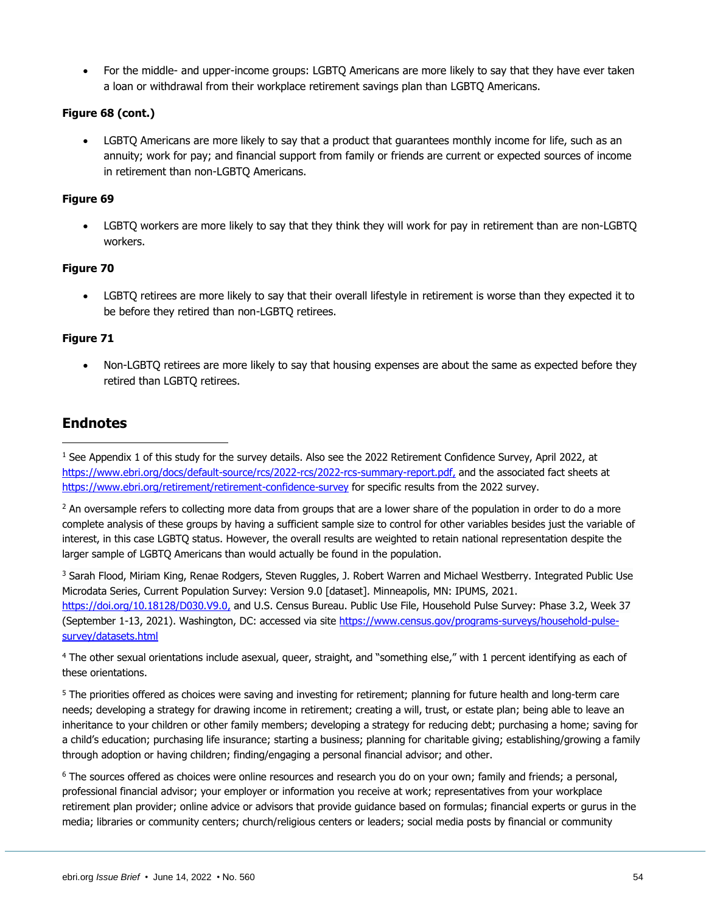• For the middle- and upper-income groups: LGBTQ Americans are more likely to say that they have ever taken a loan or withdrawal from their workplace retirement savings plan than LGBTQ Americans.

### **Figure 68 (cont.)**

• LGBTQ Americans are more likely to say that a product that guarantees monthly income for life, such as an annuity; work for pay; and financial support from family or friends are current or expected sources of income in retirement than non-LGBTQ Americans.

### **Figure 69**

• LGBTQ workers are more likely to say that they think they will work for pay in retirement than are non-LGBTQ workers.

### **Figure 70**

• LGBTQ retirees are more likely to say that their overall lifestyle in retirement is worse than they expected it to be before they retired than non-LGBTQ retirees.

### **Figure 71**

• Non-LGBTQ retirees are more likely to say that housing expenses are about the same as expected before they retired than LGBTQ retirees.

# <span id="page-53-0"></span>**Endnotes**

<sup>3</sup> Sarah Flood, Miriam King, Renae Rodgers, Steven Ruggles, J. Robert Warren and Michael Westberry. Integrated Public Use Microdata Series, Current Population Survey: Version 9.0 [dataset]. Minneapolis, MN: IPUMS, 2021. [https://doi.org/10.18128/D030.V9.0,](https://doi.org/10.18128/D030.V9.0) and U.S. Census Bureau. Public Use File, Household Pulse Survey: Phase 3.2, Week 37 (September 1-13, 2021). Washington, DC: accessed via site [https://www.census.gov/programs-surveys/household-pulse](https://www.census.gov/programs-surveys/household-pulse-survey/datasets.html)[survey/datasets.html](https://www.census.gov/programs-surveys/household-pulse-survey/datasets.html)

<sup>4</sup> The other sexual orientations include asexual, queer, straight, and "something else," with 1 percent identifying as each of these orientations.

<sup>5</sup> The priorities offered as choices were saving and investing for retirement; planning for future health and long-term care needs; developing a strategy for drawing income in retirement; creating a will, trust, or estate plan; being able to leave an inheritance to your children or other family members; developing a strategy for reducing debt; purchasing a home; saving for a child's education; purchasing life insurance; starting a business; planning for charitable giving; establishing/growing a family through adoption or having children; finding/engaging a personal financial advisor; and other.

<sup>6</sup> The sources offered as choices were online resources and research you do on your own; family and friends; a personal, professional financial advisor; your employer or information you receive at work; representatives from your workplace retirement plan provider; online advice or advisors that provide guidance based on formulas; financial experts or gurus in the media; libraries or community centers; church/religious centers or leaders; social media posts by financial or community

<sup>&</sup>lt;sup>1</sup> See Appendix 1 of this study for the survey details. Also see the 2022 Retirement Confidence Survey, April 2022, at [https://www.ebri.org/docs/default-source/rcs/2022-rcs/2022-rcs-summary-report.pdf,](https://www.ebri.org/docs/default-source/rcs/2022-rcs/2022-rcs-summary-report.pdf) and the associated fact sheets at <https://www.ebri.org/retirement/retirement-confidence-survey> for specific results from the 2022 survey.

 $2$  An oversample refers to collecting more data from groups that are a lower share of the population in order to do a more complete analysis of these groups by having a sufficient sample size to control for other variables besides just the variable of interest, in this case LGBTQ status. However, the overall results are weighted to retain national representation despite the larger sample of LGBTQ Americans than would actually be found in the population.